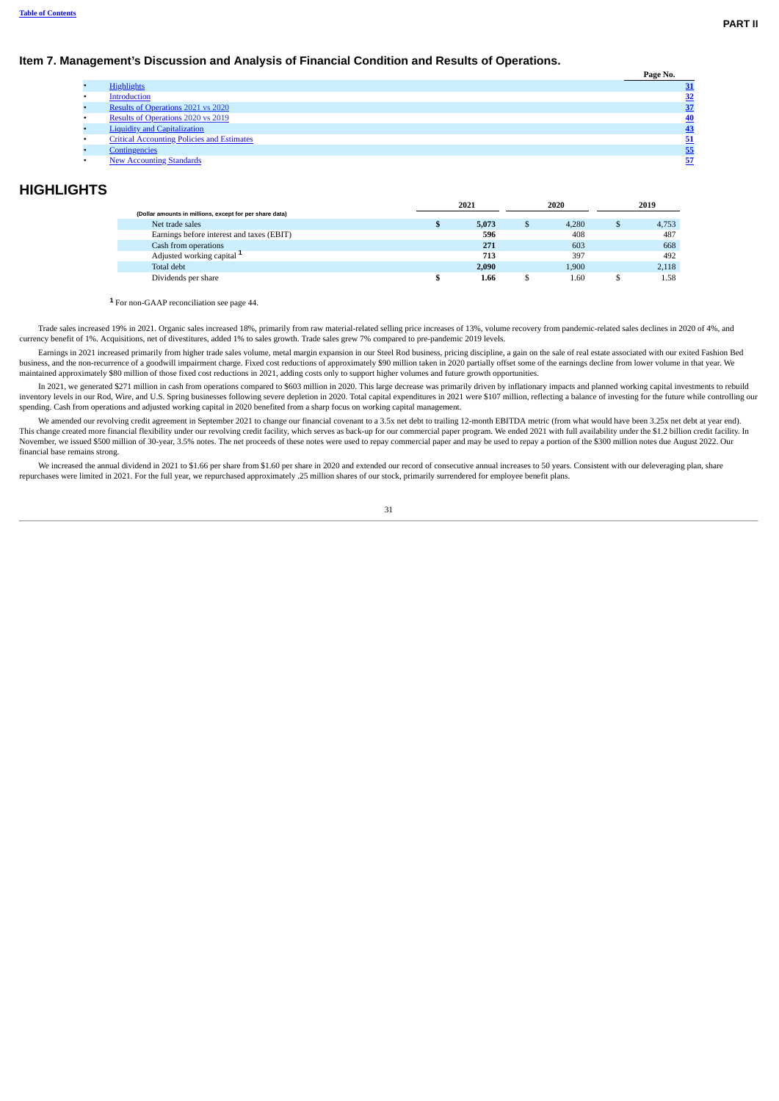### **Item 7. Management's Discussion and Analysis of Financial Condition and Results of Operations.**

|                                                   | Page No.  |
|---------------------------------------------------|-----------|
| <b>Highlights</b>                                 |           |
| Introduction                                      | <u>32</u> |
| <b>Results of Operations 2021 vs 2020</b>         |           |
| Results of Operations 2020 vs 2019                |           |
| <b>Liquidity and Capitalization</b>               |           |
| <b>Critical Accounting Policies and Estimates</b> |           |
| <b>Contingencies</b>                              | 55        |
| <b>New Accounting Standards</b>                   | 57        |

## <span id="page-0-0"></span>**HIGHLIGHTS**

|                                                         | 2021  |   | 2020  |    | 2019  |
|---------------------------------------------------------|-------|---|-------|----|-------|
| (Dollar amounts in millions, except for per share data) |       |   |       |    |       |
| Net trade sales                                         | 5.073 | S | 4.280 | ۰D | 4.753 |
| Earnings before interest and taxes (EBIT)               | 596   |   | 408   |    | 487   |
| Cash from operations                                    | 271   |   | 603   |    | 668   |
| Adjusted working capital <sup>1</sup>                   | 713   |   | 397   |    | 492   |
| Total debt                                              | 2,090 |   | 1.900 |    | 2.118 |
| Dividends per share                                     | 1.66  |   | 1.60  |    | 1.58  |

For non-GAAP reconciliation see page 44. **1**

Trade sales increased 19% in 2021. Organic sales increased 18%, primarily from raw material-related selling price increases of 13%, volume recovery from pandemic-related sales declines in 2020 of 4%, and currency benefit of 1%. Acquisitions, net of divestitures, added 1% to sales growth. Trade sales grew 7% compared to pre-pandemic 2019 levels.

Earnings in 2021 increased primarily from higher trade sales volume, metal margin expansion in our Steel Rod business, pricing discipline, a gain on the sale of real estate associated with our exited Fashion Bed business, and the non-recurrence of a goodwill impairment charge. Fixed cost reductions of approximately \$90 million taken in 2020 partially offset some of the earnings decline from lower volume in that year. We maintained approximately \$80 million of those fixed cost reductions in 2021, adding costs only to support higher volumes and future growth opportunities.

In 2021, we generated \$271 million in cash from operations compared to \$603 million in 2020. This large decrease was primarily driven by inflationary impacts and planned working capital investments to rebuild inventory levels in our Rod, Wire, and U.S. Spring businesses following severe depletion in 2020. Total capital expenditures in 2021 were \$107 million, reflecting a balance of investing for the future while controlling our spending. Cash from operations and adjusted working capital in 2020 benefited from a sharp focus on working capital management.

We amended our revolving credit agreement in September 2021 to change our financial covenant to a 3.5x net debt to trailing 12-month EBITDA metric (from what would have been 3.25x net debt at year end). This change created more financial flexibility under our revolving credit facility, which serves as back-up for our commercial paper program. We ended 2021 with full availability under the \$1.2 billion credit facility. In<br> financial base remains strong.

We increased the annual dividend in 2021 to \$1.66 per share from \$1.60 per share in 2020 and extended our record of consecutive annual increases to 50 years. Consistent with our deleveraging plan, share repurchases were limited in 2021. For the full year, we repurchased approximately .25 million shares of our stock, primarily surrendered for employee benefit plans.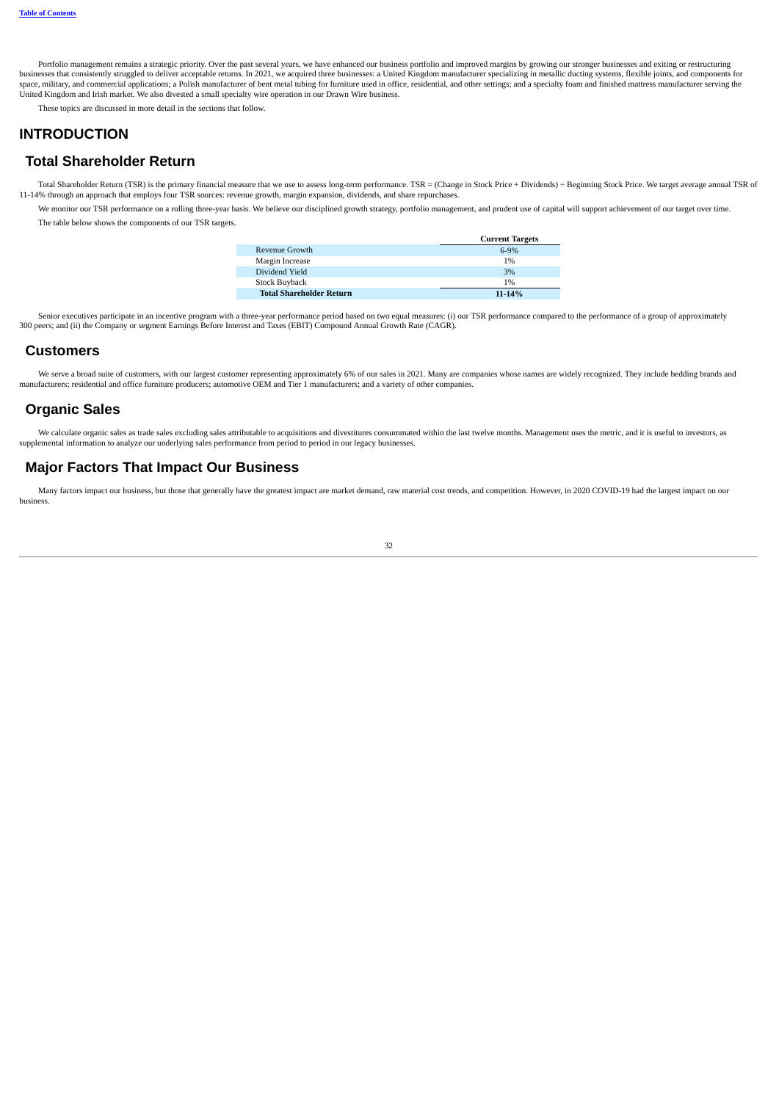Portfolio management remains a strategic priority. Over the past several years, we have enhanced our business portfolio and improved margins by growing our stronger businesses and exiting or restructuring businesses that consistently struggled to deliver acceptable returns. In 2021, we acquired three businesses: a United Kingdom manufacturer specializing in metallic ducting systems, flexible joints, and components for space, military, and commercial applications; a Polish manufacturer of bent metal tubing for furniture used in office, residential, and other settings; and a specialty foam and finished mattress manufacturer serving the United Kingdom and Irish market. We also divested a small specialty wire operation in our Drawn Wire business.

These topics are discussed in more detail in the sections that follow.

## <span id="page-1-0"></span>**INTRODUCTION**

## **Total Shareholder Return**

Total Shareholder Return (TSR) is the primary financial measure that we use to assess long-term performance. TSR = (Change in Stock Price + Dividends) ÷ Beginning Stock Price. We target average annual TSR of 11-14% through an approach that employs four TSR sources: revenue growth, margin expansion, dividends, and share repurchases.

We monitor our TSR performance on a rolling three-year basis. We believe our disciplined growth strategy, portfolio management, and prudent use of capital will support achievement of our target over time. The table below shows the components of our TSR targets.

|                                 | <b>Current Targets</b> |
|---------------------------------|------------------------|
| Revenue Growth                  | $6-9%$                 |
| Margin Increase                 | 1%                     |
| Dividend Yield                  | 3%                     |
| Stock Buyback                   | 1%                     |
| <b>Total Shareholder Return</b> | 11-14%                 |

Senior executives participate in an incentive program with a three-year performance period based on two equal measures: (i) our TSR performance compared to the performance of a group of approximately 300 peers; and (ii) the Company or segment Earnings Before Interest and Taxes (EBIT) Compound Annual Growth Rate (CAGR).

## **Customers**

We serve a broad suite of customers, with our largest customer representing approximately 6% of our sales in 2021. Many are companies whose names are widely recognized. They include bedding brands and manufacturers; residential and office furniture producers; automotive OEM and Tier 1 manufacturers; and a variety of other companies.

## **Organic Sales**

We calculate organic sales as trade sales excluding sales attributable to acquisitions and divestitures consummated within the last twelve months. Management uses the metric, and it is useful to investors, as supplemental information to analyze our underlying sales performance from period to period in our legacy businesses.

# **Major Factors That Impact Our Business**

Many factors impact our business, but those that generally have the greatest impact are market demand, raw material cost trends, and competition. However, in 2020 COVID-19 had the largest impact on our business.

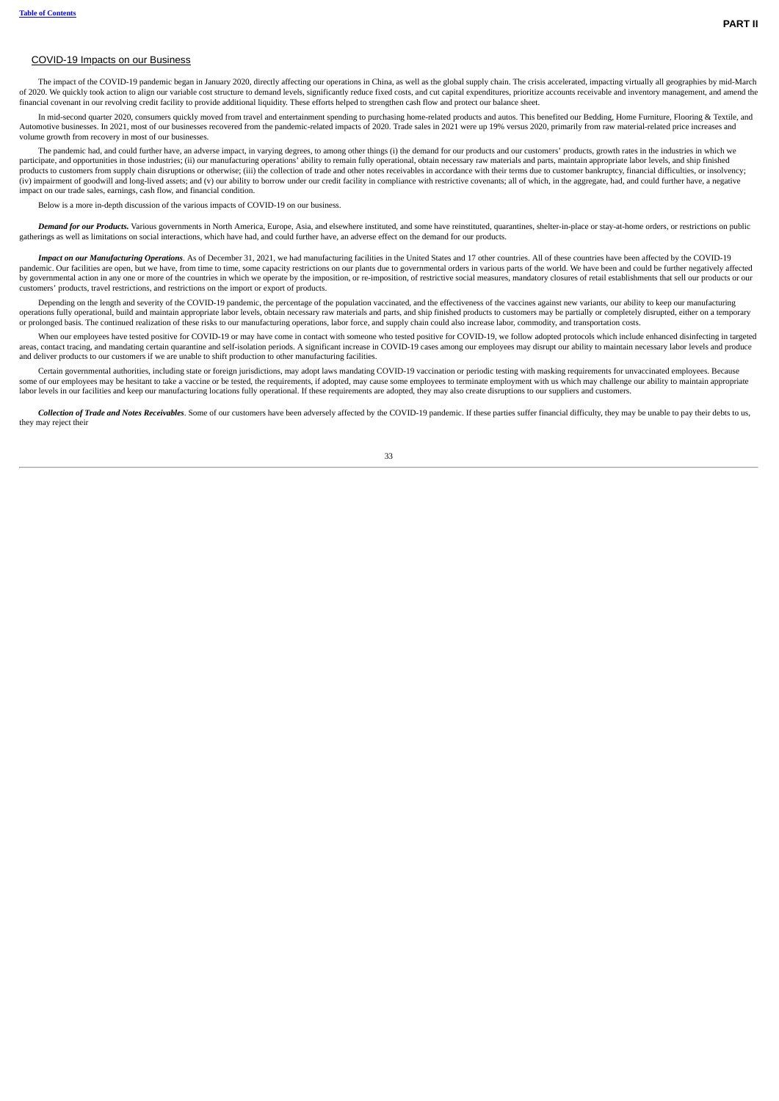### COVID-19 Impacts on our Business

The impact of the COVID-19 pandemic began in January 2020, directly affecting our operations in China, as well as the global supply chain. The crisis accelerated, impacting virtually all geographies by mid-March of 2020. We quickly took action to align our variable cost structure to demand levels, significantly reduce fixed costs, and cut capital expenditures, prioritize accounts receivable and inventory management, and amend the financial covenant in our revolving credit facility to provide additional liquidity. These efforts helped to strengthen cash flow and protect our balance sheet.

In mid-second quarter 2020, consumers quickly moved from travel and entertainment spending to purchasing home-related products and autos. This benefited our Bedding, Home Furniture, Flooring & Textile, and Automotive businesses. In 2021, most of our businesses recovered from the pandemic-related impacts of 2020. Trade sales in 2021 were up 19% versus 2020, primarily from raw material-related price increases and volume growth from recovery in most of our businesses.

The pandemic had, and could further have, an adverse impact, in varying degrees, to among other things (i) the demand for our products and our customers' products, growth rates in the industries in which we participate, and opportunities in those industries; (ii) our manufacturing operations' ability to remain fully operational, obtain necessary raw materials and parts, maintain appropriate labor levels, and ship finished products to customers from supply chain disruptions or otherwise; (iii) the collection of trade and other notes receivables in accordance with their terms due to customer bankruptcy, financial difficulties, or insolvency;<br> impact on our trade sales, earnings, cash flow, and financial condition.

Below is a more in-depth discussion of the various impacts of COVID-19 on our business.

Demand for our Products. Various governments in North America, Europe, Asia, and elsewhere instituted, and some have reinstituted, quarantines, shelter-in-place or stay-at-home orders, or restrictions on public gatherings as well as limitations on social interactions, which have had, and could further have, an adverse effect on the demand for our products.

Impact on our Manufacturing Operations. As of December 31, 2021, we had manufacturing facilities in the United States and 17 other countries. All of these countries have been affected by the COVID-19 pandemic. Our facilities are open, but we have, from time to time, some capacity restrictions on our plants due to governmental orders in various parts of the world. We have been and could be further negatively affected by governmental action in any one or more of the countries in which we operate by the imposition, or re-imposition, of restrictive social measures, mandatory closures of retail establishments that sell our products or our customers' products, travel restrictions, and restrictions on the import or export of products.

Depending on the length and severity of the COVID-19 pandemic, the percentage of the population vaccinated, and the effectiveness of the vaccines against new variants, our ability to keep our manufacturing operations fully operational, build and maintain appropriate labor levels, obtain necessary raw materials and parts, and ship finished products to customers may be partially or completely disrupted, either on a temporary or prolonged basis. The continued realization of these risks to our manufacturing operations, labor force, and supply chain could also increase labor, commodity, and transportation costs.

When our employees have tested positive for COVID-19 or may have come in contact with someone who tested positive for COVID-19, we follow adopted protocols which include enhanced disinfecting in targeted areas, contact tracing, and mandating certain quarantine and self-isolation periods. A significant increase in COVID-19 cases among our employees may disrupt our ability to maintain necessary labor levels and produce and deliver products to our customers if we are unable to shift production to other manufacturing facilities.

Certain governmental authorities, including state or foreign jurisdictions, may adopt laws mandating COVID-19 vaccination or periodic testing with masking requirements for unvaccinated employees. Because some of our employees may be hesitant to take a vaccine or be tested, the requirements, if adopted, may cause some employees to terminate employment with us which may challenge our ability to maintain appropriate labor levels in our facilities and keep our manufacturing locations fully operational. If these requirements are adopted, they may also create disruptions to our suppliers and customers.

Collection of Trade and Notes Receivables. Some of our customers have been adversely affected by the COVID-19 pandemic. If these parties suffer financial difficulty, they may be unable to pay their debts to us. they may reject their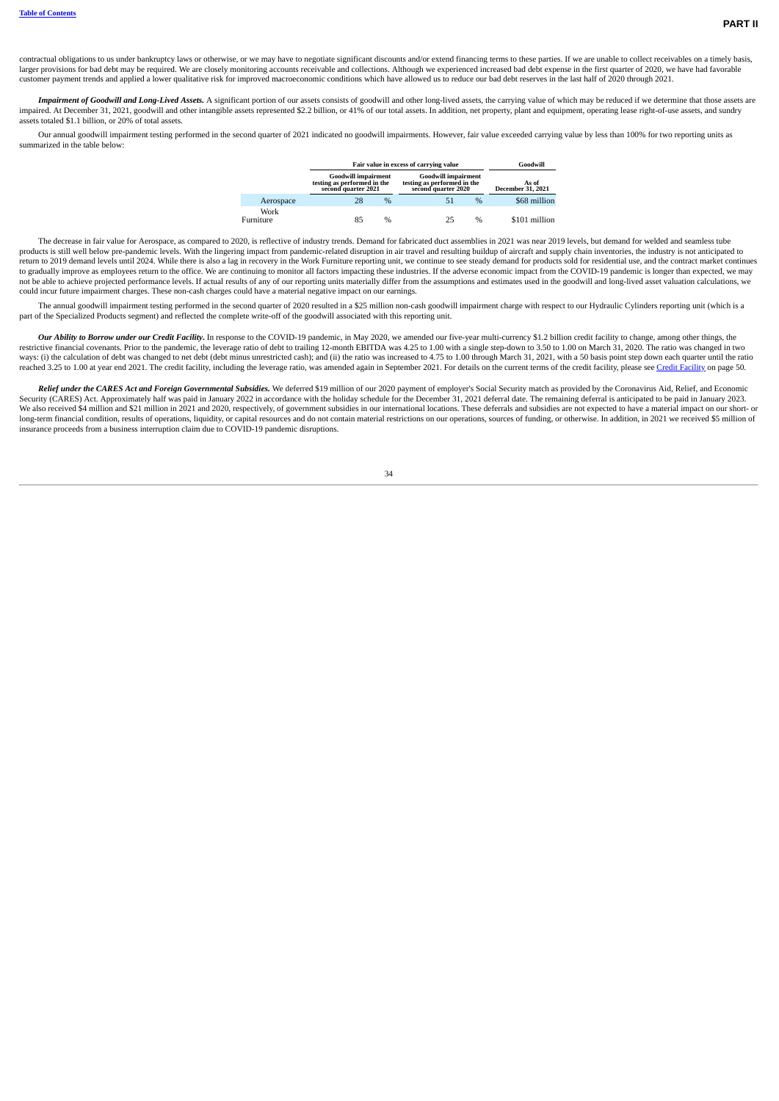contractual obligations to us under bankruptcy laws or otherwise, or we may have to negotiate significant discounts and/or extend financing terms to these parties. If we are unable to collect receivables on a timely basis, larger provisions for bad debt may be required. We are closely monitoring accounts receivable and collections. Although we experienced increased bad debt expense in the first quarter of 2020, we have had favorable customer payment trends and applied a lower qualitative risk for improved macroeconomic conditions which have allowed us to reduce our bad debt reserves in the last half of 2020 through 2021.

Impairment of Goodwill and Long-Lived Assets. A significant portion of our assets consists of goodwill and other long-lived assets the carrying value of which may be reduced if we determine that those assets are impaired. At December 31, 2021, goodwill and other intangible assets represented \$2.2 billion, or 41% of our total assets. In addition, net property, plant and equipment, operating lease right-of-use assets, and sundry assets totaled \$1.1 billion, or 20% of total assets.

Our annual goodwill impairment testing performed in the second quarter of 2021 indicated no goodwill impairments. However, fair value exceeded carrying value by less than 100% for two reporting units as summarized in the table below:

|                   |                                                                                  | Fair value in excess of carrying value |                                                                                  |      |                            |  |  |  |  |  |  |
|-------------------|----------------------------------------------------------------------------------|----------------------------------------|----------------------------------------------------------------------------------|------|----------------------------|--|--|--|--|--|--|
|                   | <b>Goodwill impairment</b><br>testing as performed in the<br>second quarter 2021 |                                        | <b>Goodwill impairment</b><br>testing as performed in the<br>second quarter 2020 |      | As of<br>December 31, 2021 |  |  |  |  |  |  |
| Aerospace         | 28                                                                               | $\%$                                   | 51                                                                               | $\%$ | \$68 million               |  |  |  |  |  |  |
| Work<br>Furniture | 85                                                                               | %                                      | 25                                                                               | $\%$ | \$101 million              |  |  |  |  |  |  |

The decrease in fair value for Aerospace, as compared to 2020, is reflective of industry trends. Demand for fabricated duct assemblies in 2021 was near 2019 levels, but demand for welded and seamless tube products is still well below pre-pandemic levels. With the lingering impact from pandemic-related disruption in air travel and resulting buildup of aircraft and supply chain inventories, the industry is not anticipated to<br> to gradually improve as employees return to the office. We are continuing to monitor all factors impacting these industries. If the adverse economic impact from the COVID-19 pandemic is longer than expected, we may not be able to achieve projected performance levels. If actual results of any of our reporting units materially differ from the assumptions and estimates used in the goodwill and long-lived asset valuation calculations, we could incur future impairment charges. These non-cash charges could have a material negative impact on our earnings.

The annual goodwill impairment testing performed in the second quarter of 2020 resulted in a \$25 million non-cash goodwill impairment charge with respect to our Hydraulic Cylinders reporting unit (which is a part of the Specialized Products segment) and reflected the complete write-off of the goodwill associated with this reporting unit.

Our Ability to Borrow under our Credit Facility. In response to the COVID-19 pandemic, in May 2020, we amended our five-year multi-currency \$1.2 billion credit facility to change, among other things, the restrictive financial covenants. Prior to the pandemic, the leverage ratio of debt to trailing 12-month EBITDA was 4.25 to 1.00 with a single step-down to 3.50 to 1.00 on March 31, 2020. The ratio was changed in two<br>ways: reached 3.25 to 1.00 at year end 2021. The credit facility, including the leverage ratio, was amended again in September 2021. For details on the current terms of the credit facility, please see Credit [Facility](#page-19-1) on page 50.

Relief under the CARES Act and Foreign Governmental Subsidies. We deferred \$19 million of our 2020 payment of employer's Social Security match as provided by the Coronavirus Aid, Relief, and Economic Security (CARES) Act. Approximately half was paid in January 2022 in accordance with the holiday schedule for the December 31, 2021 deferral date. The remaining deferral is anticipated to be paid in January 2023. We also received \$4 million and \$21 million in 2021 and 2020, respectively, of government subsidies in our international locations. These deferrals and subsidies are not expected to have a material impact on our short- or<br> insurance proceeds from a business interruption claim due to COVID-19 pandemic disruptions.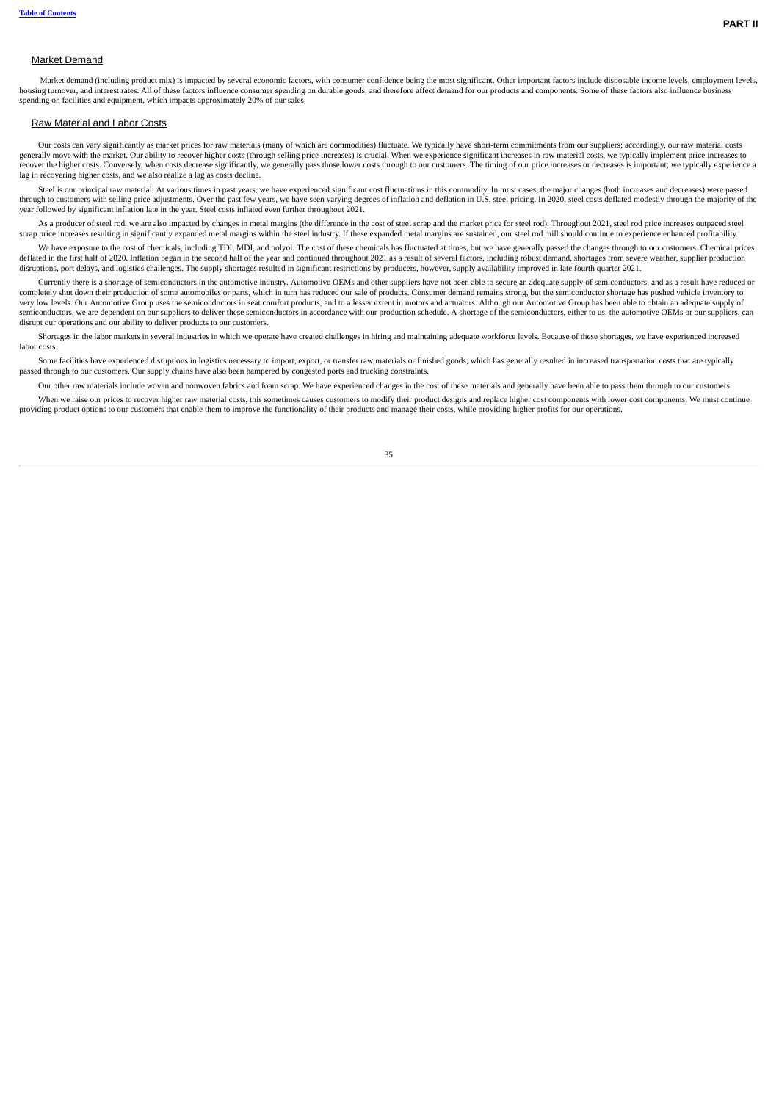### Market Demand

Market demand (including product mix) is impacted by several economic factors, with consumer confidence being the most significant. Other important factors include disposable income levels, employment levels, housing turnover, and interest rates. All of these factors influence consumer spending on durable goods, and therefore affect demand for our products and components. Some of these factors also influence business spending on facilities and equipment, which impacts approximately 20% of our sales.

#### Raw Material and Labor Costs

Our costs can vary significantly as market prices for raw materials (many of which are commodities) fluctuate. We typically have short-term commitments from our suppliers; accordingly, our raw material costs generally move with the market. Our ability to recover higher costs (through selling price increases) is crucial. When we experience significant increases in raw material costs, we typically implement price increases to recover the higher costs. Conversely, when costs decrease significantly, we generally pass those lower costs through to our customers. The timing of our price increases or decreases is important; we typically experience a lag in recovering higher costs, and we also realize a lag as costs decline.

Steel is our principal raw material. At various times in past years, we have experienced significant cost fluctuations in this commodity. In most cases, the major changes (both increases and decreases) were passed through to customers with selling price adjustments. Over the past few years, we have seen varying degrees of inflation and deflation in U.S. steel pricing. In 2020, steel costs deflated modestly through the majority of th

As a producer of steel rod, we are also impacted by changes in metal margins (the difference in the cost of steel scrap and the market price for steel rod). Throughout 2021, steel rod price increases outpaced steel scrap price increases resulting in significantly expanded metal margins within the steel industry. If these expanded metal margins are sustained, our steel rod mill should continue to experience enhanced profitability.

We have exposure to the cost of chemicals, including TDI, MDI, and polyol. The cost of these chemicals has fluctuated at times, but we have generally passed the changes through to our customers. Chemical prices deflated in the first half of 2020. Inflation began in the second half of the year and continued throughout 2021 as a result of several factors, including robust demand, shortages from severe weather, supplier production disruptions, port delays, and logistics challenges. The supply shortages resulted in significant restrictions by producers, however, supply availability improved in late fourth quarter 2021.

Currently there is a shortage of semiconductors in the automotive industry. Automotive OEMs and other suppliers have not been able to secure an adequate supply of semiconductors, and as a result have reduced or completely shut down their production of some automobiles or parts, which in turn has reduced our sale of products. Consumer demand remains strong, but the semiconductor shortage has pushed vehicle inventory to very low levels. Our Automotive Group uses the semiconductors in seat comfort products, and to a lesser extent in motors and actuators. Although our Automotive Group has been able to obtain an adequate supply of semiconductors, we are dependent on our suppliers to deliver these semiconductors in accordance with our production schedule. A shortage of the semiconductors, either to us, the automotive OEMs or our suppliers, can disrupt our operations and our ability to deliver products to our customers.

Shortages in the labor markets in several industries in which we operate have created challenges in hiring and maintaining adequate workforce levels. Because of these shortages, we have experienced increased labor costs.

Some facilities have experienced disruptions in logistics necessary to import, export, or transfer raw materials or finished goods, which has generally resulted in increased transportation costs that are typically passed through to our customers. Our supply chains have also been hampered by congested ports and trucking constraints.

Our other raw materials include woven and nonwoven fabrics and foam scrap. We have experienced changes in the cost of these materials and generally have been able to pass them through to our customers. When we raise our prices to recover higher raw material costs, this sometimes causes customers to modify their product designs and replace higher cost components with lower cost components. We must continue providing product options to our customers that enable them to improve the functionality of their products and manage their costs, while providing higher profits for our operations.

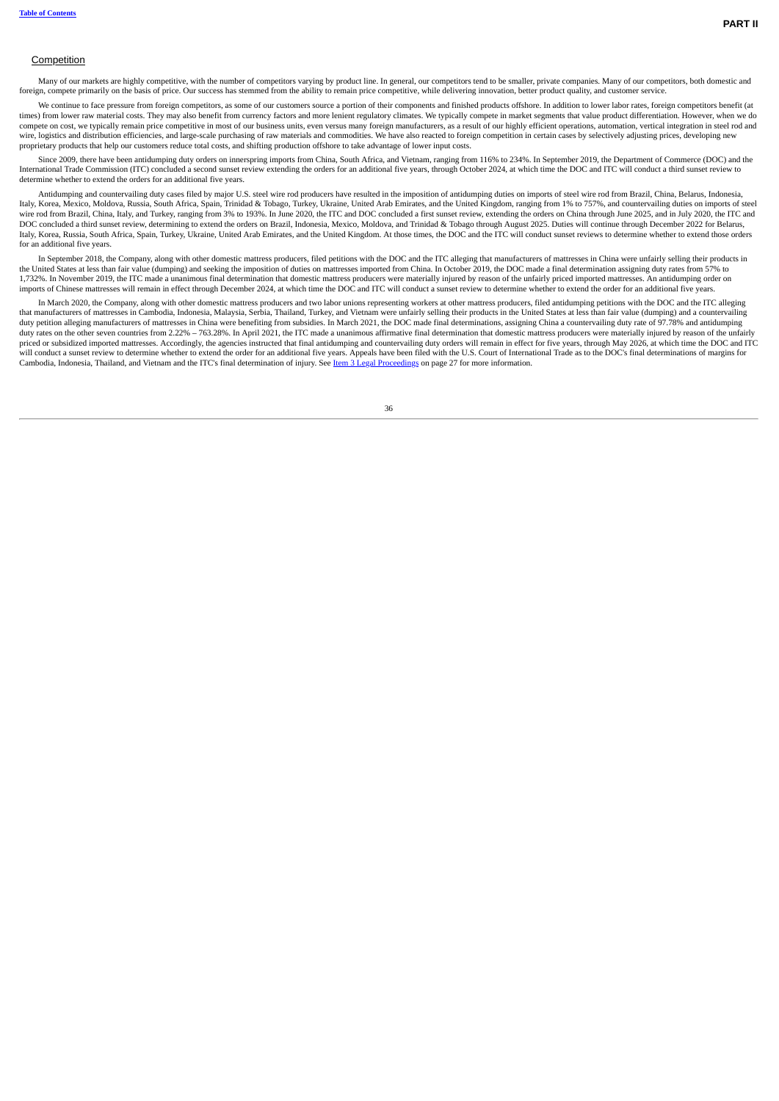### Competition

Many of our markets are highly competitive, with the number of competitors varying by product line. In general, our competitors tend to be smaller, private companies. Many of our competitors, both domestic and foreign, compete primarily on the basis of price. Our success has stemmed from the ability to remain price competitive, while delivering innovation, better product quality, and customer service.

We continue to face pressure from foreign competitors, as some of our customers source a portion of their components and finished products offshore. In addition to lower labor rates, foreign competitors benefit (at times) from lower raw material costs. They may also benefit from currency factors and more lenient regulatory climates. We typically compete in market segments that value product differentiation. However, when we do compete on cost, we typically remain price competitive in most of our business units, even versus many foreign manufacturers, as a result of our highly efficient operations, automation, vertical integration in steel rod and wire, logistics and distribution efficiencies, and large-scale purchasing of raw materials and commodities. We have also reacted to foreign competition in certain cases by selectively adjusting prices, developing new proprietary products that help our customers reduce total costs, and shifting production offshore to take advantage of lower input costs.

Since 2009, there have been antidumping duty orders on innerspring imports from China, South Africa, and Vietnam, ranging from 116% to 234%. In September 2019, the Department of Commerce (DOC) and the the DOC and ITC omclu determine whether to extend the orders for an additional five years.

Antidumping and countervailing duty cases filed by major U.S. steel wire rod producers have resulted in the imposition of antidumping duties on imports of steel wire rod from Brazil, China, Belarus, Indonesia, Italy, Korea, Mexico, Moldova, Russia, South Africa, Spain, Trinidad & Tobago, Turkey, Ukraine, United Arab Emirates, and the United Kingdom, ranging from 1% to 757%, and countervailing duties on imports of steel wire rod from Brazil, China, Italy, and Turkey, ranging from 3% to 193%. In June 2020, the ITC and DOC concluded a first sunset review, extending the orders on China through June 2025, and in July 2020, the ITC and in July DOC concluded a third sunset review, determining to extend the orders on Brazil, Indonesia, Mexico, Moldova, and Trinidad & Tobago through August 2025. Duties will continue through December 2022 for Belarus, Italy, Korea, Russia, South Africa, Spain, Turkey, Ukraine, United Arab Emirates, and the United Kingdom. At those times, the DOC and the ITC will conduct sunset reviews to determine whether to extend those orders for an additional five years.

In September 2018, the Company, along with other domestic mattress producers, filed petitions with the DOC and the ITC alleging that manufacturers of mattresses in China were unfairly selling their products in the United S 1,732%. In November 2019, the ITC made a unanimous final determination that domestic mattress producers were materially injured by reason of the unfairly priced imported mattresses. An antidumping order on imports of Chinese mattresses will remain in effect through December 2024, at which time the DOC and ITC will conduct a sunset review to determine whether to extend the order for an additional five years.

In March 2020, the Company, along with other domestic mattress producers and two labor unions representing workers at other mattress producers, filed antidumping petitions with the DOC and the ITC alleging that manufacturers of mattresses in Cambodia, Indonesia, Malaysia, Serbia, Thailand, Turkey, and Vietnam were unfairly selling their products in the United States at less than fair value (dumping) and a countervailing duty petition alleging manufacturers of mattresses in China were benefiting from subsidies. In March 2021, the DOC made final determinations, assigning China a countervailing duty rate of 97.78% and antidumping duty rates on the other seven countries from 2.22% – 763.28%. In April 2021, the ITC made a unanimous affirmative final determination that domestic mattress producers were materially injured by reason of the unfairly priced or subsidized imported mattresses. Accordingly, the agencies instructed that final antidumping and countervailing duty orders will remain in effect for five years, through May 2026, at which time the DOC and ITC will conduct a sunset review to determine whether to extend the order for an additional five years. Appeals have been filed with the U.S. Court of International Trade as to the DOC's final determinations of margins for Cambodia, Indonesia, Thailand, and Vietnam and the ITC's final determination of injury. See Item 3 Legal [Proceedings](#page--1-1) on page 27 for more information.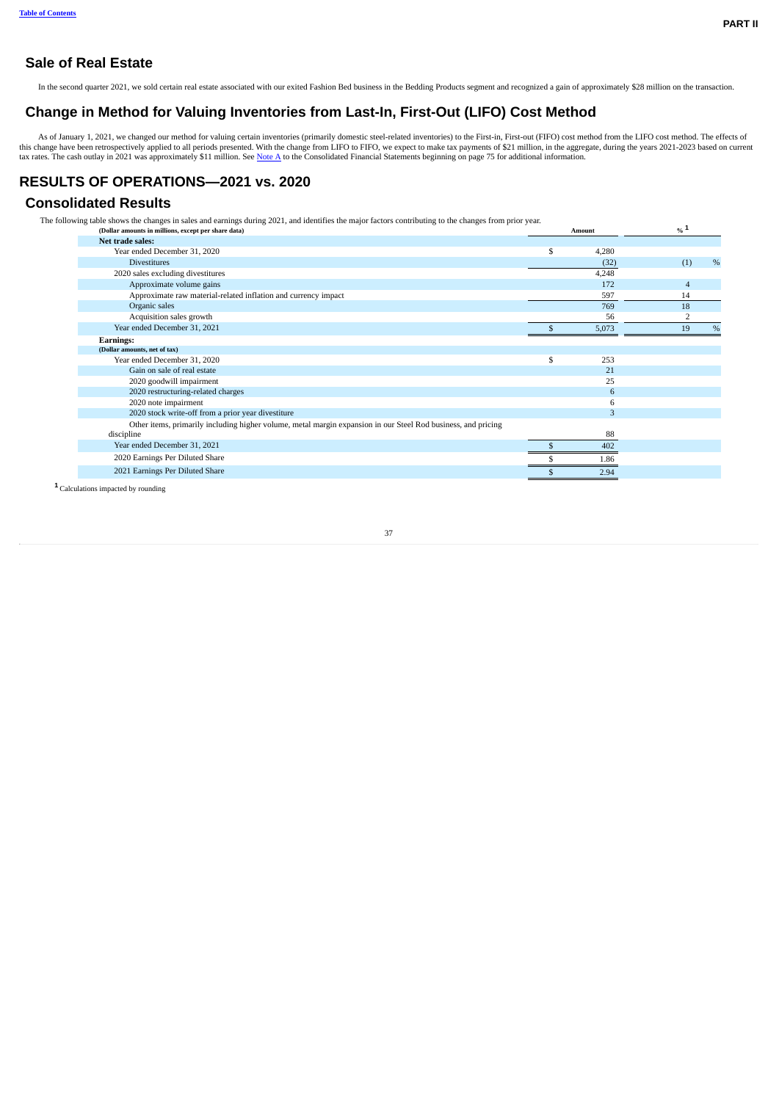# **Sale of Real Estate**

In the second quarter 2021, we sold certain real estate associated with our exited Fashion Bed business in the Bedding Products segment and recognized a gain of approximately \$28 million on the transaction.

## **Change in Method for Valuing Inventories from Last-In, First-Out (LIFO) Cost Method**

As of January 1, 2021, we changed our method for valuing certain inventories (primarily domestic steel-related inventories) to the First-in, First-out (FIFO) cost method from the LIFO cost method. The effects of this chang

# <span id="page-6-0"></span>**RESULTS OF OPERATIONS—2021 vs. 2020**

# **Consolidated Results**

The following table shows the changes in sales and earnings during 2021, and identifies the major factors contributing to the changes from prior year.

| (Dollar amounts in millions, except per share data)                                                           | Amount    | $\frac{0}{6}$ 1 |      |
|---------------------------------------------------------------------------------------------------------------|-----------|-----------------|------|
| Net trade sales:                                                                                              |           |                 |      |
| Year ended December 31, 2020                                                                                  | 4,280     |                 |      |
| <b>Divestitures</b>                                                                                           | (32)      | (1)             | $\%$ |
| 2020 sales excluding divestitures                                                                             | 4,248     |                 |      |
| Approximate volume gains                                                                                      | 172       | $\overline{4}$  |      |
| Approximate raw material-related inflation and currency impact                                                | 597       | 14              |      |
| Organic sales                                                                                                 | 769       | 18              |      |
| Acquisition sales growth                                                                                      | 56        | $\overline{2}$  |      |
| Year ended December 31, 2021                                                                                  | 5,073     | 19              | %    |
| <b>Earnings:</b>                                                                                              |           |                 |      |
| (Dollar amounts, net of tax)                                                                                  |           |                 |      |
| Year ended December 31, 2020                                                                                  | \$<br>253 |                 |      |
| Gain on sale of real estate                                                                                   | 21        |                 |      |
| 2020 goodwill impairment                                                                                      | 25        |                 |      |
| 2020 restructuring-related charges                                                                            | 6         |                 |      |
| 2020 note impairment                                                                                          | 6         |                 |      |
| 2020 stock write-off from a prior year divestiture                                                            | 3         |                 |      |
| Other items, primarily including higher volume, metal margin expansion in our Steel Rod business, and pricing |           |                 |      |
| discipline                                                                                                    | 88        |                 |      |
| Year ended December 31, 2021                                                                                  | 402       |                 |      |
| 2020 Earnings Per Diluted Share                                                                               | 1.86      |                 |      |
| 2021 Earnings Per Diluted Share                                                                               | 2.94      |                 |      |
|                                                                                                               |           |                 |      |

Calculations impacted by rounding **1**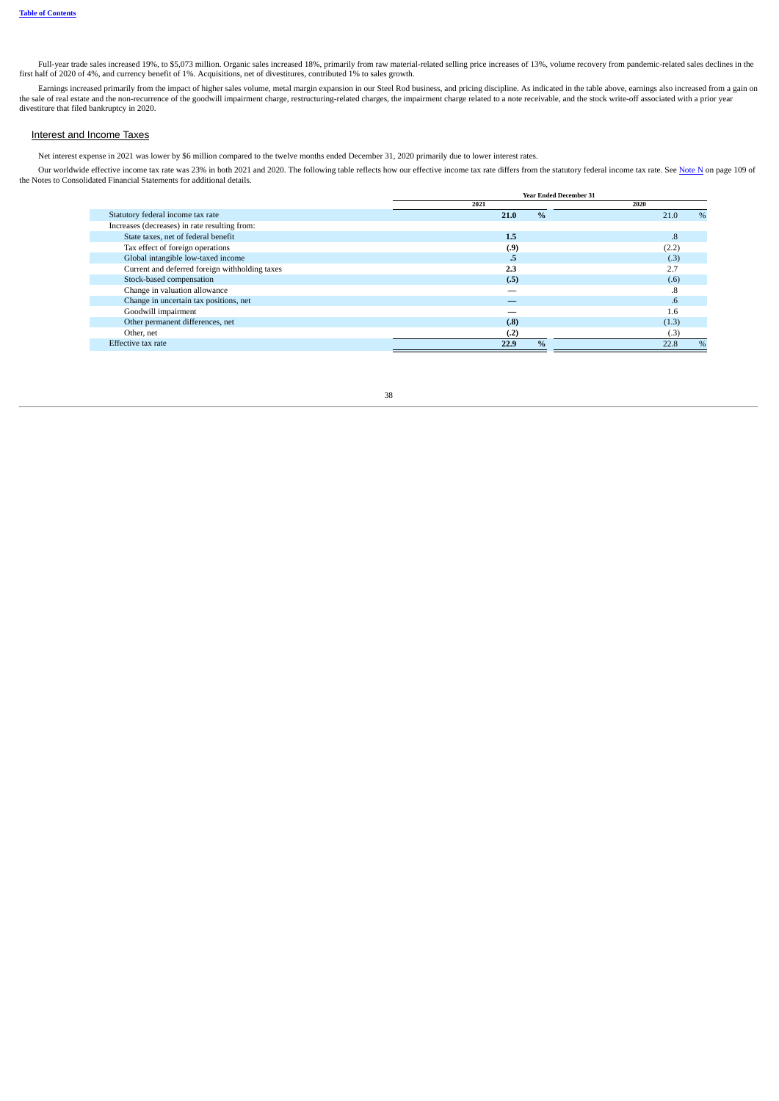Full-year trade sales increased 19%, to \$5,073 million. Organic sales increased 18%, primarily from raw material-related selling price increases of 13%, volume recovery from pandemic-related sales declines in the first half of 2020 of 4%, and currency benefit of 1%. Acquisitions, net of divestitures, contributed 1% to sales growth.

Earnings increased primarily from the impact of higher sales volume, metal margin expansion in our Steel Rod business, and pricing discipline. As indicated in the table above, earnings also increased from a gain on the sale of real estate and the non-recurrence of the goodwill impairment charge, restructuring-related charges, the impairment charge related to a note receivable, and the stock write-off associated with a prior year divestiture that filed bankruptcy in 2020.

### Interest and Income Taxes

Net interest expense in 2021 was lower by \$6 million compared to the twelve months ended December 31, 2020 primarily due to lower interest rates.

Our worldwide effective income tax rate was 23% in both 2021 and 2020. The following table reflects how our effective income tax rate differs from the statutory federal income tax rate. See [Note](#page--1-3) N on page 109 of the Notes

|                                                | <b>Year Ended December 31</b> |              |
|------------------------------------------------|-------------------------------|--------------|
|                                                | 2021                          | 2020         |
| Statutory federal income tax rate              | $\frac{0}{0}$<br>21.0         | $\%$<br>21.0 |
| Increases (decreases) in rate resulting from:  |                               |              |
| State taxes, net of federal benefit            | 1.5                           | 8.           |
| Tax effect of foreign operations               | (.9)                          | (2.2)        |
| Global intangible low-taxed income             | .5                            | (.3)         |
| Current and deferred foreign withholding taxes | 2.3                           | 2.7          |
| Stock-based compensation                       | (.5)                          | (.6)         |
| Change in valuation allowance                  |                               | .8           |
| Change in uncertain tax positions, net         |                               | .6           |
| Goodwill impairment                            |                               | 1.6          |
| Other permanent differences, net               | (.8)                          | (1.3)        |
| Other, net                                     | (.2)                          | (.3)         |
| Effective tax rate                             | $\frac{0}{6}$<br>22.9         | $\%$<br>22.8 |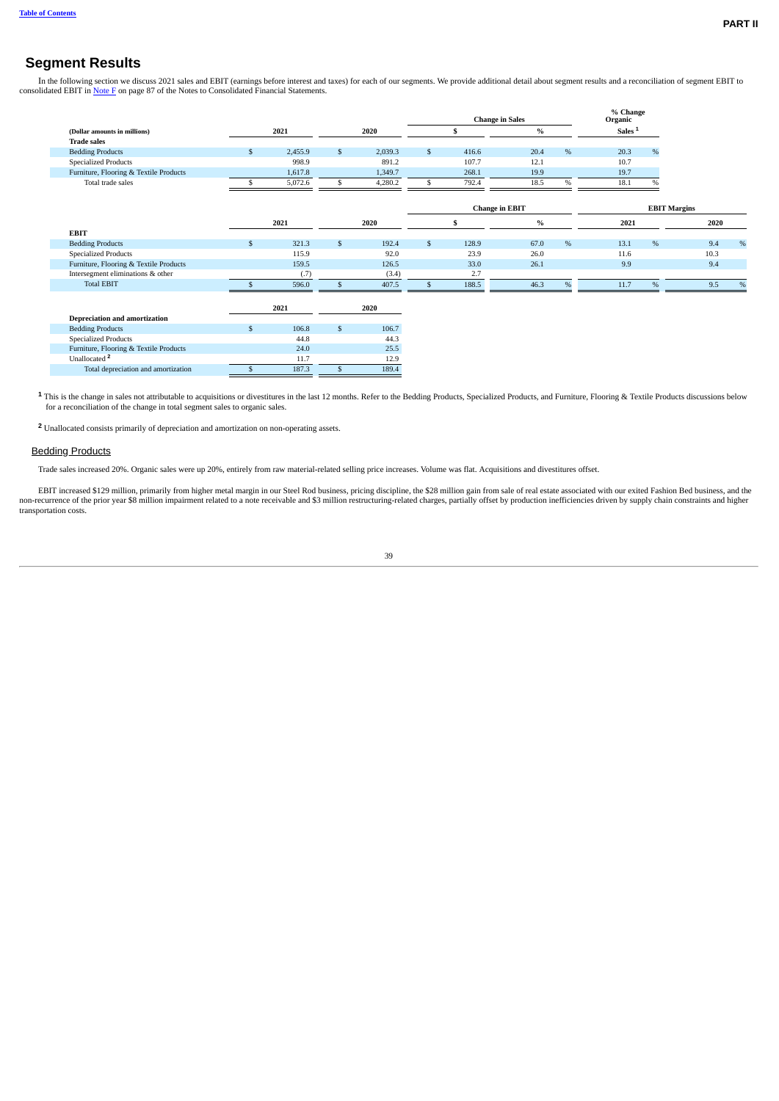# **Segment Results**

In the following section we discuss 2021 sales and EBIT (earnings before interest and taxes) for each of our segments. We provide additional detail about segment results and a reconciliation of segment EBIT to consolidated EBIT in [Note](#page--1-4)  $\overline{F}$  on page 87 of the Notes to Consolidated Financial Statements.

|                                        |               |               |         |              |       | <b>Change in Sales</b> |      | % Change<br>Organic |               |                     |      |
|----------------------------------------|---------------|---------------|---------|--------------|-------|------------------------|------|---------------------|---------------|---------------------|------|
| (Dollar amounts in millions)           | 2021          |               | 2020    |              |       | $\%$                   |      | Sales <sup>1</sup>  |               |                     |      |
| <b>Trade sales</b>                     |               |               |         |              |       |                        |      |                     |               |                     |      |
| <b>Bedding Products</b>                | \$<br>2,455.9 | <sup>\$</sup> | 2,039.3 | $\mathbb{S}$ | 416.6 | 20.4                   | $\%$ | 20.3                | $\%$          |                     |      |
| <b>Specialized Products</b>            | 998.9         |               | 891.2   |              | 107.7 | 12.1                   |      | 10.7                |               |                     |      |
| Furniture, Flooring & Textile Products | 1,617.8       |               | 1,349.7 |              | 268.1 | 19.9                   |      | 19.7                |               |                     |      |
| Total trade sales                      | 5,072.6       |               | 4,280.2 | \$           | 792.4 | 18.5                   | %    | 18.1                | $\frac{0}{0}$ |                     |      |
|                                        |               |               |         |              |       |                        |      |                     |               |                     |      |
|                                        |               |               |         |              |       | <b>Change in EBIT</b>  |      |                     |               | <b>EBIT Margins</b> |      |
|                                        | 2021          |               | 2020    |              |       | $\%$                   |      | 2021                |               | 2020                |      |
| <b>EBIT</b>                            |               |               |         |              |       |                        |      |                     |               |                     |      |
| <b>Bedding Products</b>                | \$<br>321.3   | \$            | 192.4   | \$           | 128.9 | 67.0                   | $\%$ | 13.1                | $\%$          | 9.4                 | $\%$ |
| <b>Specialized Products</b>            | 115.9         |               | 92.0    |              | 23.9  | 26.0                   |      | 11.6                |               | 10.3                |      |
| Furniture, Flooring & Textile Products | 159.5         |               | 126.5   |              | 33.0  | 26.1                   |      | 9.9                 |               | 9.4                 |      |
| Intersegment eliminations & other      | (.7)          |               | (3.4)   |              | 2.7   |                        |      |                     |               |                     |      |
| <b>Total EBIT</b>                      | 596.0         | \$            | 407.5   | \$           | 188.5 | 46.3                   | %    | 11.7                | $\%$          | 9.5                 | $\%$ |
|                                        |               |               |         |              |       |                        |      |                     |               |                     |      |
|                                        | 2021          |               | 2020    |              |       |                        |      |                     |               |                     |      |
| <b>Depreciation and amortization</b>   |               |               |         |              |       |                        |      |                     |               |                     |      |
| <b>Bedding Products</b>                | 106.8         | \$            | 106.7   |              |       |                        |      |                     |               |                     |      |
| <b>Specialized Products</b>            | 44.8          |               | 44.3    |              |       |                        |      |                     |               |                     |      |
| Furniture, Flooring & Textile Products | 24.0          |               | 25.5    |              |       |                        |      |                     |               |                     |      |
| Unallocated <sup>2</sup>               | 11.7          |               | 12.9    |              |       |                        |      |                     |               |                     |      |
| Total depreciation and amortization    | 187.3         | $\mathbf{s}$  | 189.4   |              |       |                        |      |                     |               |                     |      |

This is the change in sales not attributable to acquisitions or divestitures in the last 12 months. Refer to the Bedding Products, Specialized Products, and Furniture, Flooring & Textile Products discussions below **1** for a reconciliation of the change in total segment sales to organic sales.

Unallocated consists primarily of depreciation and amortization on non-operating assets. **2**

## **Bedding Products**

Trade sales increased 20%. Organic sales were up 20%, entirely from raw material-related selling price increases. Volume was flat. Acquisitions and divestitures offset.

EBIT increased \$129 million, primarily from higher metal margin in our Steel Rod business, pricing discipline, the \$28 million gain from sale of real estate associated with our exited Fashion Bed business, and the prior ye transportation costs.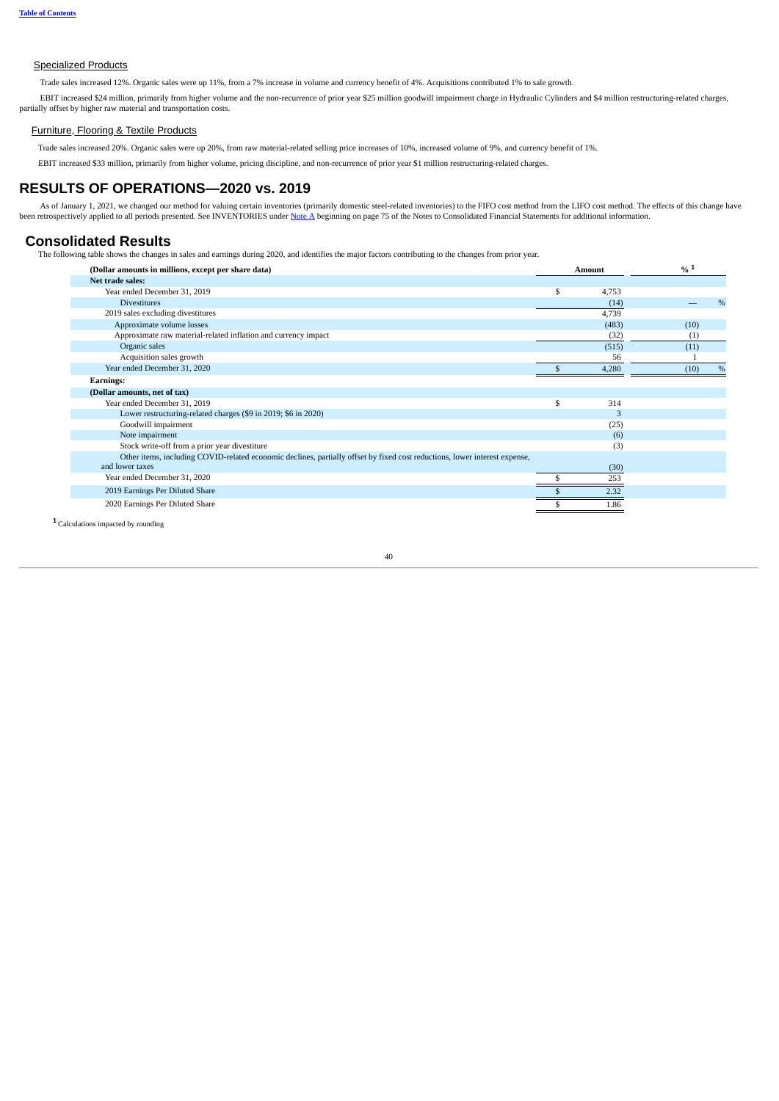## **Specialized Products**

Trade sales increased 12%. Organic sales were up 11%, from a 7% increase in volume and currency benefit of 4%. Acquisitions contributed 1% to sale growth.

EBIT increased \$24 million, primarily from higher volume and the non-recurrence of prior year \$25 million goodwill impairment charge in Hydraulic Cylinders and \$4 million restructuring-related charges, partially offset by higher raw material and transportation costs.

#### Furniture, Flooring & Textile Products

Trade sales increased 20%. Organic sales were up 20%, from raw material-related selling price increases of 10%, increased volume of 9%, and currency benefit of 1%.

EBIT increased \$33 million, primarily from higher volume, pricing discipline, and non-recurrence of prior year \$1 million restructuring-related charges.

## <span id="page-9-0"></span>**RESULTS OF OPERATIONS—2020 vs. 2019**

As of January 1, 2021, we changed our method for valuing certain inventories (primarily domestic steel-related inventories) to the FIFO cost method from the LIFO cost method. The effects of this change have been retrospectively applied to all periods presented. See INVENTORIES under [Note](#page--1-2) A beginning on page 75 of the Notes to Consolidated Financial Statements for additional information.

## **Consolidated Results**

The following table shows the changes in sales and earnings during 2020, and identifies the major factors contributing to the changes from prior year.

| (Dollar amounts in millions, except per share data)                                                                        |    | <b>Amount</b> | % 1  |   |
|----------------------------------------------------------------------------------------------------------------------------|----|---------------|------|---|
| Net trade sales:                                                                                                           |    |               |      |   |
| Year ended December 31, 2019                                                                                               | S  | 4,753         |      |   |
| <b>Divestitures</b>                                                                                                        |    | (14)          |      | % |
| 2019 sales excluding divestitures                                                                                          |    | 4,739         |      |   |
| Approximate volume losses                                                                                                  |    | (483)         | (10) |   |
| Approximate raw material-related inflation and currency impact                                                             |    | (32)          | (1)  |   |
| Organic sales                                                                                                              |    | (515)         | (11) |   |
| Acquisition sales growth                                                                                                   |    | 56            |      |   |
| Year ended December 31, 2020                                                                                               |    | 4,280         | (10) | % |
| <b>Earnings:</b>                                                                                                           |    |               |      |   |
| (Dollar amounts, net of tax)                                                                                               |    |               |      |   |
| Year ended December 31, 2019                                                                                               | \$ | 314           |      |   |
| Lower restructuring-related charges (\$9 in 2019; \$6 in 2020)                                                             |    | 3             |      |   |
| Goodwill impairment                                                                                                        |    | (25)          |      |   |
| Note impairment                                                                                                            |    | (6)           |      |   |
| Stock write-off from a prior year divestiture                                                                              |    | (3)           |      |   |
| Other items, including COVID-related economic declines, partially offset by fixed cost reductions, lower interest expense, |    |               |      |   |
| and lower taxes                                                                                                            |    | (30)          |      |   |
| Year ended December 31, 2020                                                                                               |    | 253           |      |   |
| 2019 Earnings Per Diluted Share                                                                                            |    | 2.32          |      |   |
| 2020 Earnings Per Diluted Share                                                                                            |    | 1.86          |      |   |
|                                                                                                                            |    |               |      |   |

Calculations impacted by rounding **1**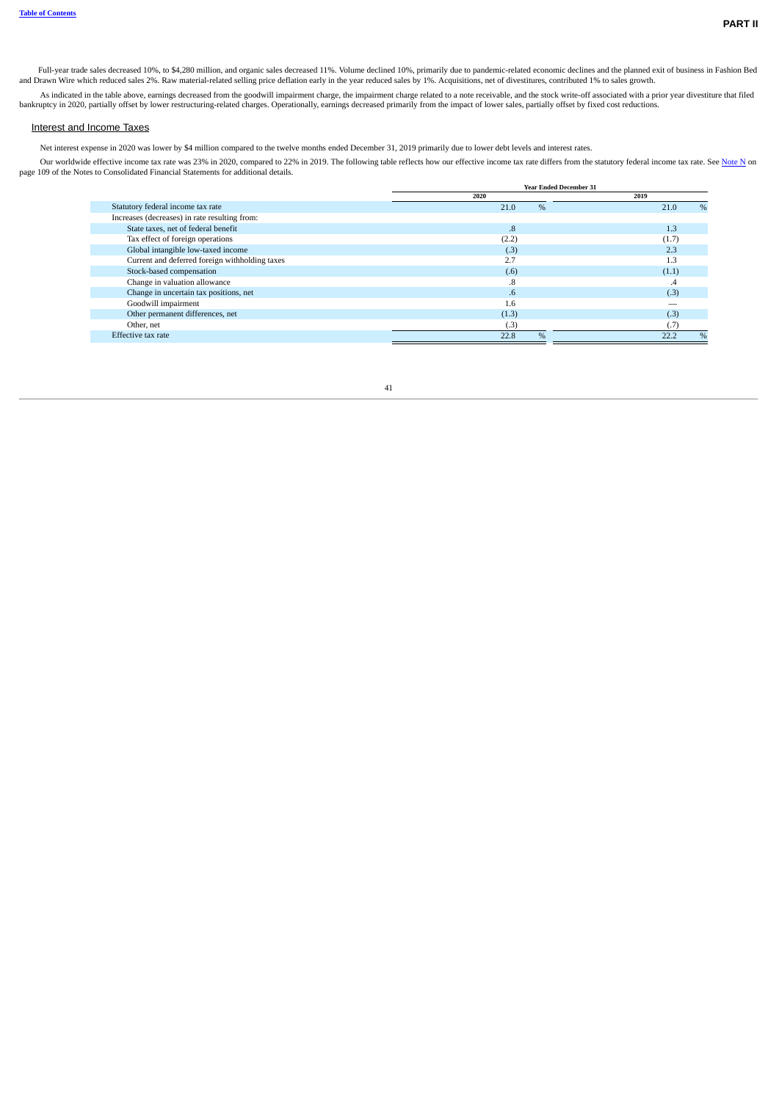Full-year trade sales decreased 10%, to \$4,280 million, and organic sales decreased 11%. Volume declined 10%, primarily due to pandemic-related economic declines and the planned exit of business in Fashion Bed<br>and Drawn Wi

As indicated in the table above, earnings decreased from the goodwill impairment charge, the impairment charge related to a note receivable, and the stock write-off associated with a prior year divestiture that filed bankruptcy in 2020, partially offset by lower restructuring-related charges. Operationally, earnings decreased primarily from the impact of lower sales, partially offset by fixed cost reductions.

### Interest and Income Taxes

Net interest expense in 2020 was lower by \$4 million compared to the twelve months ended December 31, 2019 primarily due to lower debt levels and interest rates.

Our worldwide effective income tax rate was 23% in 2020, compared to 22% in 2019. The following table reflects how our effective income tax rate differs from the statutory federal income tax rate. See [Note](#page--1-3) N on page 109 of the Notes to Consolidated Financial Statements for additional details.

|                                                | <b>Year Ended December 31</b> |              |
|------------------------------------------------|-------------------------------|--------------|
|                                                | 2020                          | 2019         |
| Statutory federal income tax rate              | %<br>21.0                     | %<br>21.0    |
| Increases (decreases) in rate resulting from:  |                               |              |
| State taxes, net of federal benefit            | $\boldsymbol{.8}$             | 1.3          |
| Tax effect of foreign operations               | (2.2)                         | (1.7)        |
| Global intangible low-taxed income             | (.3)                          | 2.3          |
| Current and deferred foreign withholding taxes | 2.7                           | 1.3          |
| Stock-based compensation                       | (.6)                          | (1.1)        |
| Change in valuation allowance                  | .8                            | .4           |
| Change in uncertain tax positions, net         | .6                            | (.3)         |
| Goodwill impairment                            | 1.6                           |              |
| Other permanent differences, net               | (1.3)                         | (.3)         |
| Other, net                                     | (.3)                          | (7.          |
| Effective tax rate                             | %<br>22.8                     | $\%$<br>22.2 |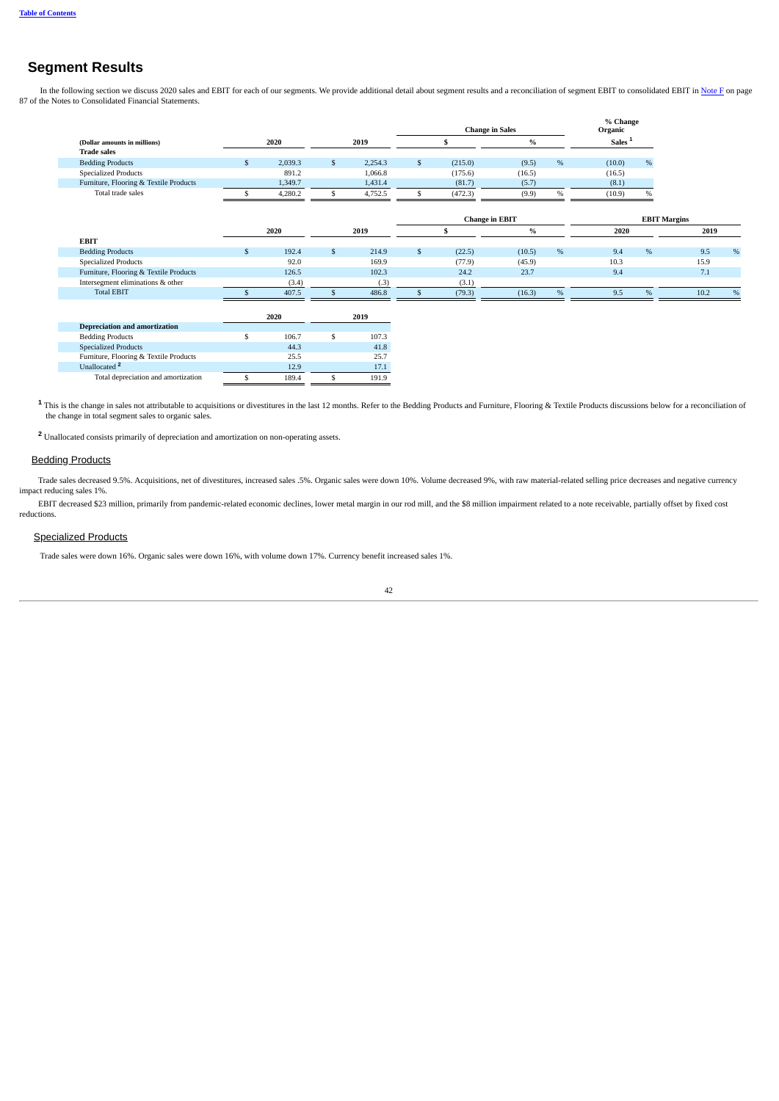# **Segment Results**

In the following section we discuss 2020 sales and EBIT for each of our segments. We provide additional detail about segment results and a reconciliation of segment EBIT to consolidated EBIT in [Note](#page--1-4) F on page 87 of the Notes to Consolidated Financial Statements.

|                                        |    |         |               |              | <b>Change in Sales</b> |               |      | % Change<br>Organic |                     |      |      |
|----------------------------------------|----|---------|---------------|--------------|------------------------|---------------|------|---------------------|---------------------|------|------|
| (Dollar amounts in millions)           |    | 2020    | 2019          |              | \$                     | $\%$          |      | Sales <sup>1</sup>  |                     |      |      |
| <b>Trade sales</b>                     |    |         |               |              |                        |               |      |                     |                     |      |      |
| <b>Bedding Products</b>                | -S | 2,039.3 | \$<br>2,254.3 | $\mathbf{s}$ | (215.0)                | (9.5)         | %    | (10.0)              | $\%$                |      |      |
| <b>Specialized Products</b>            |    | 891.2   | 1,066.8       |              | (175.6)                | (16.5)        |      | (16.5)              |                     |      |      |
| Furniture, Flooring & Textile Products |    | 1,349.7 | 1,431.4       |              | (81.7)                 | (5.7)         |      | (8.1)               |                     |      |      |
| Total trade sales                      |    | 4,280.2 | \$<br>4,752.5 | \$           | (472.3)                | (9.9)         | $\%$ | (10.9)              | $\%$                |      |      |
|                                        |    |         |               |              | <b>Change in EBIT</b>  |               |      |                     | <b>EBIT Margins</b> |      |      |
|                                        |    | 2020    | 2019          |              | \$                     | $\frac{0}{0}$ |      | 2020                |                     | 2019 |      |
| <b>EBIT</b>                            |    |         |               |              |                        |               |      |                     |                     |      |      |
| <b>Bedding Products</b>                | \$ | 192.4   | \$<br>214.9   | \$           | (22.5)                 | (10.5)        | $\%$ | 9.4                 | $\%$                | 9.5  | $\%$ |
| <b>Specialized Products</b>            |    | 92.0    | 169.9         |              | (77.9)                 | (45.9)        |      | 10.3                |                     | 15.9 |      |
| Furniture, Flooring & Textile Products |    | 126.5   | 102.3         |              | 24.2                   | 23.7          |      | 9.4                 |                     | 7.1  |      |
| Intersegment eliminations & other      |    | (3.4)   | (.3)          |              | (3.1)                  |               |      |                     |                     |      |      |
| <b>Total EBIT</b>                      |    | 407.5   | 486.8         |              | (79.3)                 | (16.3)        | %    | 9.5                 | %                   | 10.2 | %    |
|                                        |    | 2020    | 2019          |              |                        |               |      |                     |                     |      |      |
| <b>Depreciation and amortization</b>   |    |         |               |              |                        |               |      |                     |                     |      |      |
| <b>Bedding Products</b>                | S  | 106.7   | \$<br>107.3   |              |                        |               |      |                     |                     |      |      |
| <b>Specialized Products</b>            |    | 44.3    | 41.8          |              |                        |               |      |                     |                     |      |      |
| Furniture, Flooring & Textile Products |    | 25.5    | 25.7          |              |                        |               |      |                     |                     |      |      |
| Unallocated <sup>2</sup>               |    | 12.9    | 17.1          |              |                        |               |      |                     |                     |      |      |
| Total depreciation and amortization    | \$ | 189.4   | \$<br>191.9   |              |                        |               |      |                     |                     |      |      |

This is the change in sales not attributable to acquisitions or divestitures in the last 12 months. Refer to the Bedding Products and Furniture, Flooring & Textile Products discussions below for a reconciliation of the cha **1**

Unallocated consists primarily of depreciation and amortization on non-operating assets. **2**

## Bedding Products

Trade sales decreased 9.5%. Acquisitions, net of divestitures, increased sales .5%. Organic sales were down 10%. Volume decreased 9%, with raw material-related selling price decreases and negative currency impact reducing sales 1%.

EBIT decreased \$23 million, primarily from pandemic-related economic declines, lower metal margin in our rod mill, and the \$8 million impairment related to a note receivable, partially offset by fixed cost reductions.

## **Specialized Products**

Trade sales were down 16%. Organic sales were down 16%, with volume down 17%. Currency benefit increased sales 1%.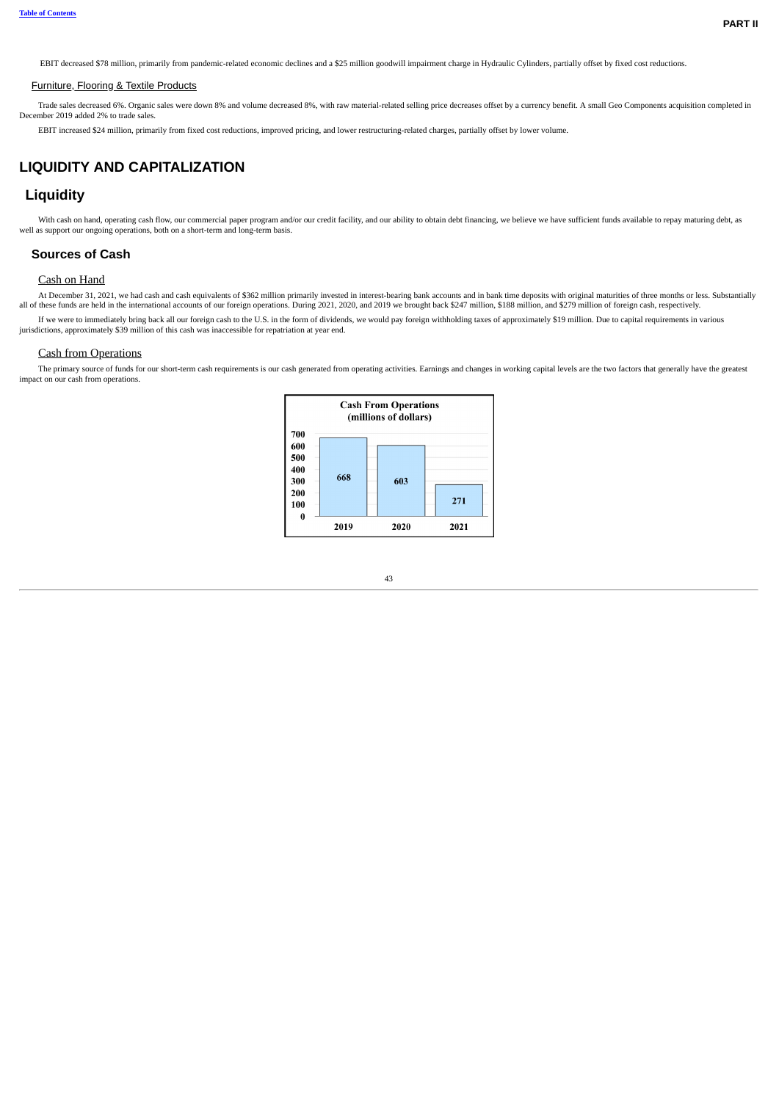EBIT decreased \$78 million, primarily from pandemic-related economic declines and a \$25 million goodwill impairment charge in Hydraulic Cylinders, partially offset by fixed cost reductions.

#### Furniture, Flooring & Textile Products

Trade sales decreased 6%. Organic sales were down 8% and volume decreased 8%, with raw material-related selling price decreases offset by a currency benefit. A small Geo Components acquisition completed in December 2019 added 2% to trade sales.

EBIT increased \$24 million, primarily from fixed cost reductions, improved pricing, and lower restructuring-related charges, partially offset by lower volume.

# <span id="page-12-0"></span>**LIQUIDITY AND CAPITALIZATION**

## **Liquidity**

With cash on hand, operating cash flow, our commercial paper program and/or our credit facility, and our ability to obtain debt financing, we believe we have sufficient funds available to repay maturing debt, as well as support our ongoing operations, both on a short-term and long-term basis.

## **Sources of Cash**

## Cash on Hand

At December 31, 2021, we had cash and cash equivalents of \$362 million primarily invested in interest-bearing bank accounts and in bank time deposits with original maturities of three months or less. Substantially all of t

If we were to immediately bring back all our foreign cash to the U.S. in the form of dividends, we would pay foreign withholding taxes of approximately \$19 million. Due to capital requirements in various jurisdictions, approximately \$39 million of this cash was inaccessible for repatriation at year end.

## Cash from Operations

The primary source of funds for our short-term cash requirements is our cash generated from operating activities. Earnings and changes in working capital levels are the two factors that generally have the greatest impact on our cash from operations.

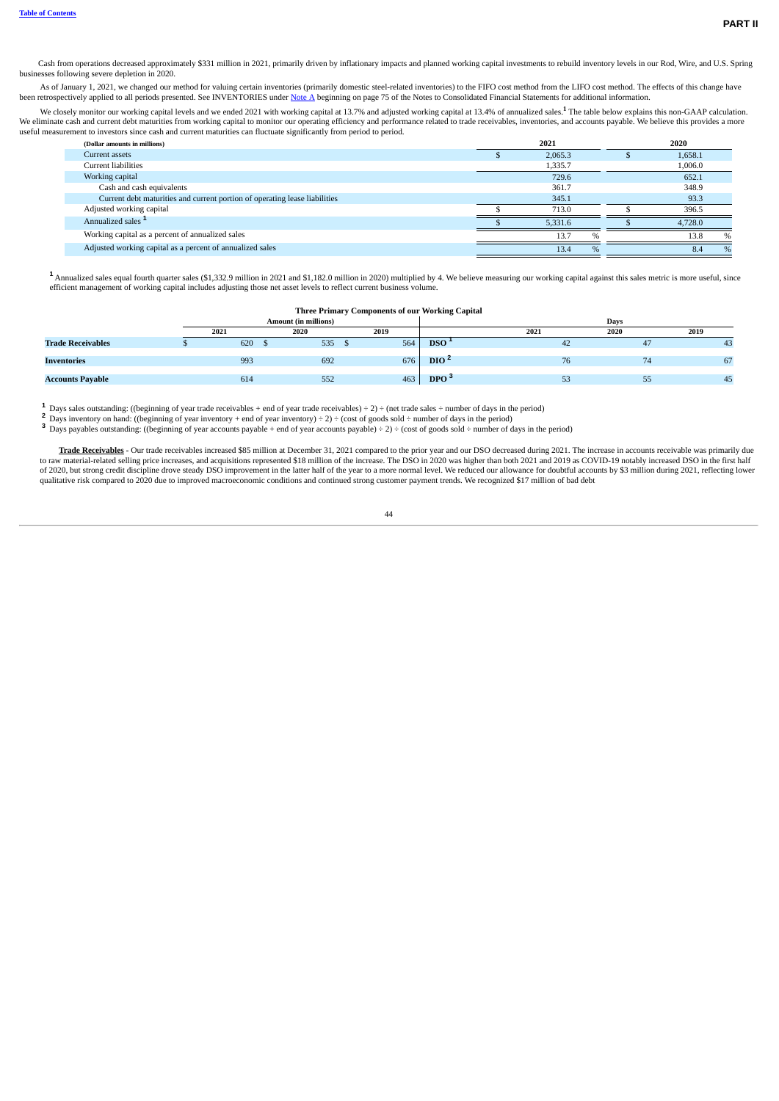Cash from operations decreased approximately \$331 million in 2021, primarily driven by inflationary impacts and planned working capital investments to rebuild inventory levels in our Rod, Wire, and U.S. Spring businesses following severe depletion in 2020.

As of January 1, 2021, we changed our method for valuing certain inventories (primarily domestic steel-related inventories) to the FIFO cost method from the LIFO cost method. The effects of this change have been retrospectively applied to all periods presented. See INVENTORIES under [Note](#page--1-2) A beginning on page 75 of the Notes to Consolidated Financial Statements for additional information.

We closely monitor our working capital levels and we ended 2021 with working capital at 13.7% and adjusted working capital at 13.4% of annualized sales.<sup>1</sup> The table below explains this non-GAAP calculation.<br>We eliminate c useful measurement to investors since cash and current maturities can fluctuate significantly from period to period. **1**

| (Dollar amounts in millions)                                               | 2021    |               | 2020    |               |
|----------------------------------------------------------------------------|---------|---------------|---------|---------------|
| Current assets                                                             | 2,065.3 |               | 1,658.1 |               |
| Current liabilities                                                        | 1,335.7 |               | 1,006.0 |               |
| Working capital                                                            | 729.6   |               | 652.1   |               |
| Cash and cash equivalents                                                  | 361.7   |               | 348.9   |               |
| Current debt maturities and current portion of operating lease liabilities | 345.1   |               | 93.3    |               |
| Adjusted working capital                                                   | 713.0   |               | 396.5   |               |
| Annualized sales <sup>1</sup>                                              | 5.331.6 |               | 4.728.0 |               |
| Working capital as a percent of annualized sales                           | 13.7    | $\mathbf{O}/$ | 13.8    | $\frac{0}{0}$ |
| Adjusted working capital as a percent of annualized sales                  | 13.4    | $\%$          | 8.4     | $\%$          |

Annualized sales equal fourth quarter sales (\$1,332.9 million in 2021 and \$1,182.0 million in 2020) multiplied by 4. We believe measuring our working capital against this sales metric is more useful, since **1** efficient management of working capital includes adjusting those net asset levels to reflect current business volume.

#### **Three Primary Components of our Working Capital**

|                          |      | <b>Amount (in millions)</b> |      |                  |      | Davs |    |      |  |
|--------------------------|------|-----------------------------|------|------------------|------|------|----|------|--|
|                          | 2021 | 2020                        | 2019 |                  | 2021 | 2020 |    | 2019 |  |
| <b>Trade Receivables</b> | 620  | 535                         | 564  | DSO <sup>1</sup> |      | 42   |    | 43   |  |
| <b>Inventories</b>       | 993  | 692                         | 676  | DIO <sup>2</sup> |      | 76   |    | 67   |  |
| <b>Accounts Payable</b>  | 614  | 552                         | 463  | DPO <sup>3</sup> |      | 53   | رر | 45   |  |

Days sales outstanding: ((beginning of year trade receivables + end of year trade receivables) ÷ 2) ÷ (net trade sales ÷ number of days in the period) **1 2**

Days inventory on hand: ((beginning of year inventory + end of year inventory) ÷ 2) ÷ (cost of goods sold ÷ number of days in the period)

**3** Days payables outstanding: ((beginning of year accounts payable + end of year accounts payable)  $\div$  2)  $\div$  (cost of goods sold  $\div$  number of days in the period)

Trade Receivables - Our trade receivables increased \$85 million at December 31, 2021 compared to the prior year and our DSO decreased during 2021. The increase in accounts receivable was primarily due<br>to raw material-relat of 2020, but strong credit discipline drove steady DSO improvement in the latter half of the year to a more normal level. We reduced our allowance for doubtful accounts by \$3 million during 2021, reflecting lower qualitative risk compared to 2020 due to improved macroeconomic conditions and continued strong customer payment trends. We recognized \$17 million of bad debt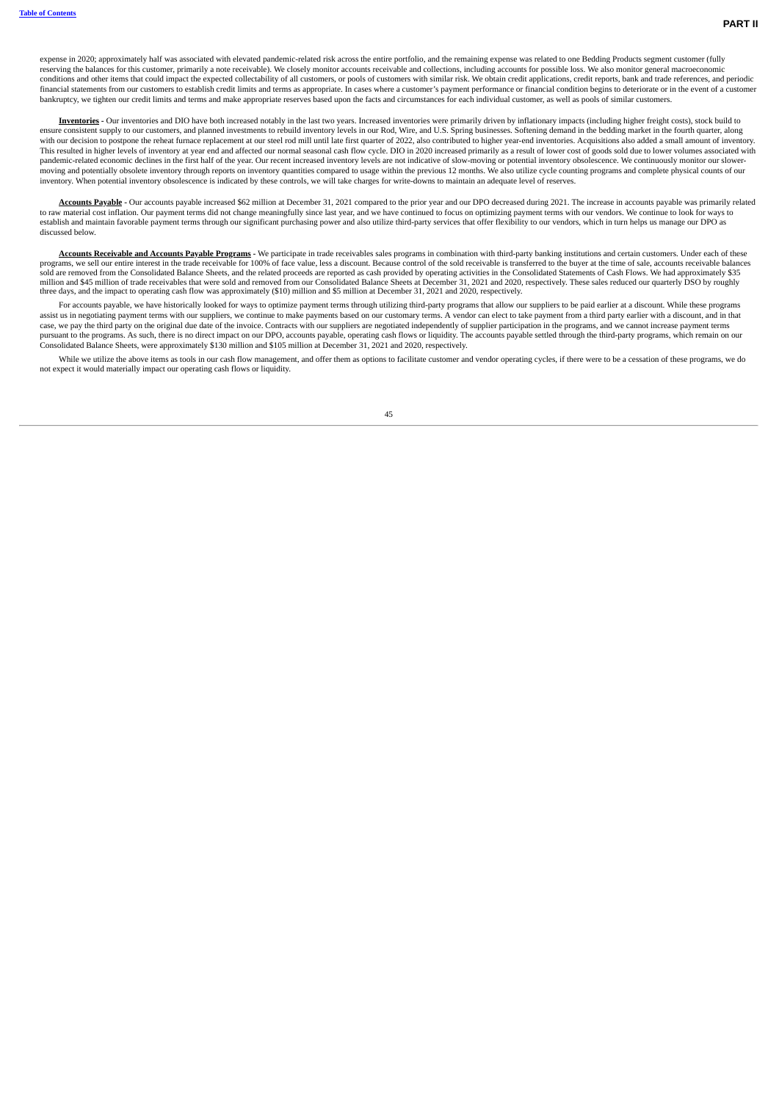expense in 2020; approximately half was associated with elevated pandemic-related risk across the entire portfolio, and the remaining expense was related to one Bedding Products segment customer (fully reserving the balances for this customer, primarily a note receivable). We closely monitor accounts receivable and collections, including accounts for possible loss. We also monitor general macroeconomic conditions and other items that could impact the expected collectability of all customers, or pools of customers with similar risk. We obtain credit applications, credit reports, bank and trade references, and periodic financial statements from our customers to establish credit limits and terms as appropriate. In cases where a customer's payment performance or financial condition begins to deteriorate or in the event of a customer bankruptcy, we tighten our credit limits and terms and make appropriate reserves based upon the facts and circumstances for each individual customer, as well as pools of similar customers.

**Inventories -** Our inventories and DIO have both increased notably in the last two years. Increased inventories were primarily driven by inflationary impacts (including higher freight costs), stock build to ensure consistent supply to our customers, and planned investments to rebuild inventory levels in our Rod, Wire, and U.S. Spring businesses. Softening demand in the bedding market in the fourth quarter, along<br>with our deci This resulted in higher levels of inventory at year end and affected our normal seasonal cash flow cycle. DIO in 2020 increased primarily as a result of lower cost of goods sold due to lower volumes associated with pandemic-related economic declines in the first half of the year. Our recent increased inventory levels are not indicative of slow-moving or potential inventory obsolescence. We continuously monitor our slowermoving and potentially obsolete inventory through reports on inventory quantities compared to usage within the previous 12 months. We also utilize cycle counting programs and complete physical counts of our inventory. When potential inventory obsolescence is indicated by these controls, we will take charges for write-downs to maintain an adequate level of reserves.

Accounts Payable - Our accounts payable increased \$62 million at December 31, 2021 compared to the prior year and our DPO decreased during 2021. The increase in accounts payable was primarily related to raw material cost inflation. Our payment terms did not change meaningfully since last year, and we have continued to focus on optimizing payment terms with our vendors. We continue to look for ways to establish and maintain favorable payment terms through our significant purchasing power and also utilize third-party services that offer flexibility to our vendors, which in turn helps us manage our DPO as discussed below.

Accounts Receivable and Accounts Payable Programs - We participate in trade receivables sales programs in combination with third-party banking institutions and certain customers. Under each of these programs, we sell our entire interest in the trade receivable for 100% of face value, less a discount. Because control of the sold receivable is transferred to the buyer at the time of sale, accounts receivable balances<br>so million and \$45 million of trade receivables that were sold and removed from our Consolidated Balance Sheets at December 31, 2021 and 2020, respectively. These sales reduced our quarterly DSO by roughly three days, and the impact to operating cash flow was approximately (\$10) million and \$5 million at December 31, 2021 and 2020, respectively.

For accounts payable, we have historically looked for ways to optimize payment terms through utilizing third-party programs that allow our suppliers to be paid earlier at a discount. While these programs assist us in negotiating payment terms with our suppliers, we continue to make payments based on our customary terms. A vendor can elect to take payment from a third party earlier with a discount, and in that case, we pay the third party on the original due date of the invoice. Contracts with our suppliers are negotiated independently of supplier participation in the programs, and we cannot increase payment terms pursuant to the programs. As such, there is no direct impact on our DPO, accounts payable, operating cash flows or liquidity. The accounts payable settled through the third-party programs, which remain on our<br>Consolidated

While we utilize the above items as tools in our cash flow management, and offer them as options to facilitate customer and vendor operating cycles, if there were to be a cessation of these programs, we do not expect it would materially impact our operating cash flows or liquidity.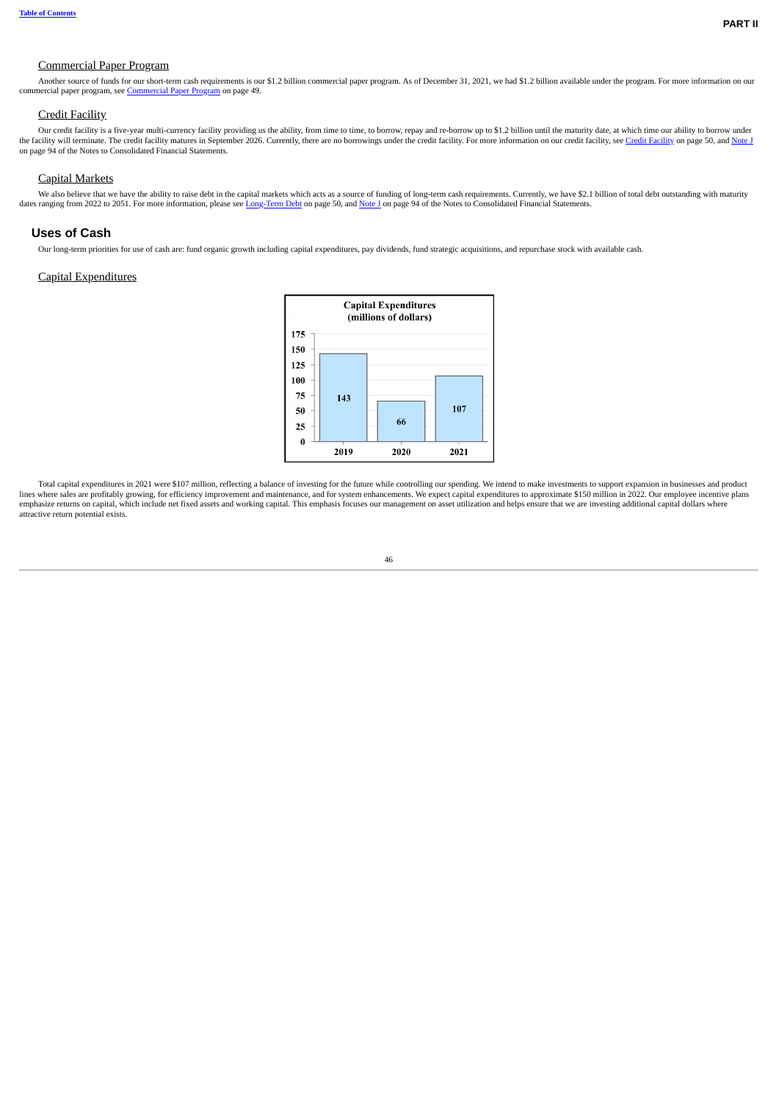## Commercial Paper Program

Another source of funds for our short-term cash requirements is our \$1.2 billion commercial paper program. As of December 31, 2021, we had \$1.2 billion available under the program. For more information on our commercial paper program, see [Commercial](#page-18-0) Paper Program on page 49.

### Credit Facility

Our credit facility is a five-year multi-currency facility providing us the ability, from time to time, to borrow, repay and re-borrow up to \$1.2 billion until the maturity date, at which time our ability to borrow under<br>T on page 94 of the Notes to Consolidated Financial Statements.

### Capital Markets

We also believe that we have the ability to raise debt in the capital markets which acts as a source of funding of long-term cash requirements. Currently, we have \$2.1 billion of total debt outstanding with maturity dates ranging from 2022 to 2051. For more information, please see [Long-Term](#page-19-2) Debt on page 50, and [Note](#page--1-5) J on page 94 of the Notes to Consolidated Financial Statements.

#### **Uses of Cash**

Our long-term priorities for use of cash are: fund organic growth including capital expenditures, pay dividends, fund strategic acquisitions, and repurchase stock with available cash.

#### Capital Expenditures



Total capital expenditures in 2021 were \$107 million, reflecting a balance of investing for the future while controlling our spending. We intend to make investments to support expansion in businesses and product lines where sales are profitably growing, for efficiency improvement and maintenance, and for system enhancements. We expect capital expenditures to approximate \$150 million in 2022. Our employee incentive plans<br>emphasize attractive return potential exists.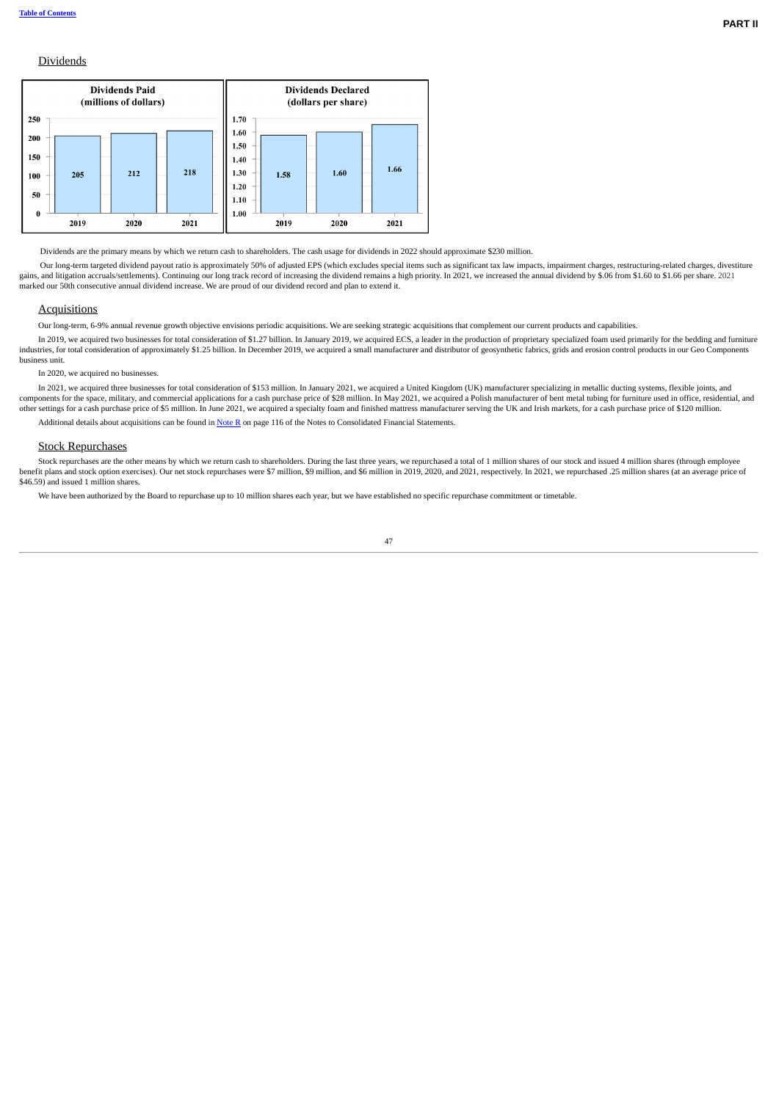### **Dividends**



Dividends are the primary means by which we return cash to shareholders. The cash usage for dividends in 2022 should approximate \$230 million.

Our long-term targeted dividend payout ratio is approximately 50% of adjusted EPS (which excludes special items such as significant tax law impacts, impairment charges, restructuring-related charges, divestiture gains, and litigation accruals/settlements). Continuing our long track record of increasing the dividend remains a high priority. In 2021, we increased the annual dividend by \$.06 from \$1.60 to \$1.66 per share. 2021 marked our 50th consecutive annual dividend increase. We are proud of our dividend record and plan to extend it.

## **Acquisitions**

Our long-term, 6-9% annual revenue growth objective envisions periodic acquisitions. We are seeking strategic acquisitions that complement our current products and capabilities.

In 2019, we acquired two businesses for total consideration of \$1.27 billion. In January 2019, we acquired ECS, a leader in the production of proprietary specialized foam used primarily for the bedding and furniture industries, for total consideration of approximately \$1.25 billion. In December 2019, we acquired a small manufacturer and distributor of geosynthetic fabrics, grids and erosion control products in our Geo Components business unit.

### In 2020, we acquired no businesses.

In 2021, we acquired three businesses for total consideration of \$153 million. In January 2021, we acquired a United Kingdom (UK) manufacturer specializing in metallic ducting systems, flexible joints, and components for the space, military, and commercial applications for a cash purchase price of \$28 million. In May 2021, we acquired a Polish manufacturer of bent metal tubing for furniture used in office, residential, and<br>o

Additional details about acquisitions can be found in **[Note](#page--1-6) R** on page 116 of the Notes to Consolidated Financial Statements.

#### **Stock Repurchases**

Stock repurchases are the other means by which we return cash to shareholders. During the last three years, we repurchased a total of 1 million shares of our stock and issued 4 million shares (through employee benefit plans and stock option exercises). Our net stock repurchases were \$7 million, \$9 million, and \$6 million in 2019, 2020, and 2021, respectively. In 2021, we repurchased .25 million shares (at an average price of<br>\$46

We have been authorized by the Board to repurchase up to 10 million shares each year, but we have established no specific repurchase commitment or timetable.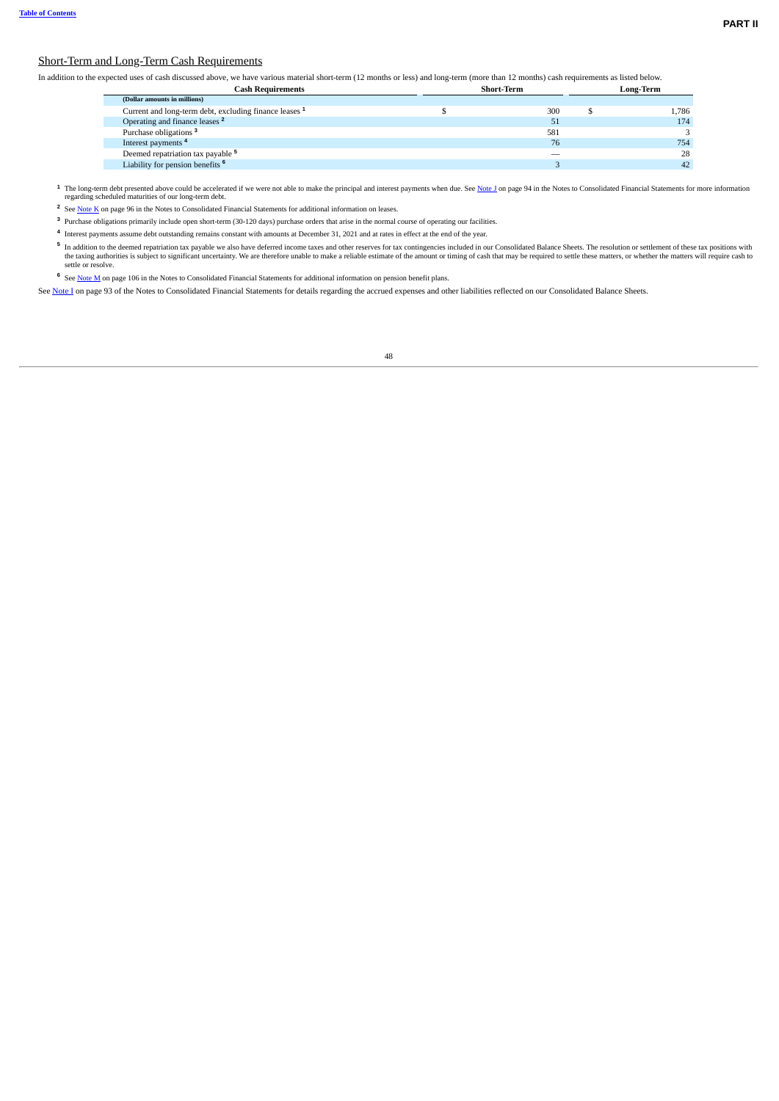## Short-Term and Long-Term Cash Requirements

In addition to the expected uses of cash discussed above, we have various material short-term (12 months or less) and long-term (more than 12 months) cash requirements as listed below.

| <b>Cash Requirements</b>                                          | <b>Short-Term</b> |     | Long-Term |
|-------------------------------------------------------------------|-------------------|-----|-----------|
| (Dollar amounts in millions)                                      |                   |     |           |
| Current and long-term debt, excluding finance leases <sup>1</sup> |                   | 300 | 1.786     |
| Operating and finance leases <sup>2</sup>                         |                   | 51  | 174       |
| Purchase obligations <sup>3</sup>                                 |                   | 581 |           |
| Interest payments <sup>4</sup>                                    |                   | 76  | 754       |
| Deemed repatriation tax payable <sup>5</sup>                      |                   |     | 28        |
| Liability for pension benefits <sup>6</sup>                       |                   |     | 42        |

<sup>1</sup> The long-term debt presented above could be accelerated if we were not able to make the principal and interest payments when due. See <u>[Note](#page--1-5) J</u> on page 94 in the Notes to Consolidated Financial Statements for more infor

<sup>2</sup> See [Note K](#page--1-7) on page 96 in the Notes to Consolidated Financial Statements for additional information on leases.

<sup>3</sup> Purchase obligations primarily include open short-term (30-120 days) purchase orders that arise in the normal course of operating our facilities.

4 Interest payments assume debt outstanding remains constant with amounts at December 31, 2021 and at rates in effect at the end of the year.

5 In addition to the deemed repatriation tax payable we also have deferred income taxes and other reserves for tax contingencies included in our Consolidated Balance Sheets. The resolution or settlement of these tax positi the taxing authorities is subject to significant uncertainty. We are therefore unable to make a reliable estimate of the amount or timing of cash that may be required to settle these matters, or whether the matters will re

<sup>6</sup> See [Note M](#page--1-8) on page 106 in the Notes to Consolidated Financial Statements for additional information on pension benefit plans.

See [Note](#page--1-9) I on page 93 of the Notes to Consolidated Financial Statements for details regarding the accrued expenses and other liabilities reflected on our Consolidated Balance Sheets.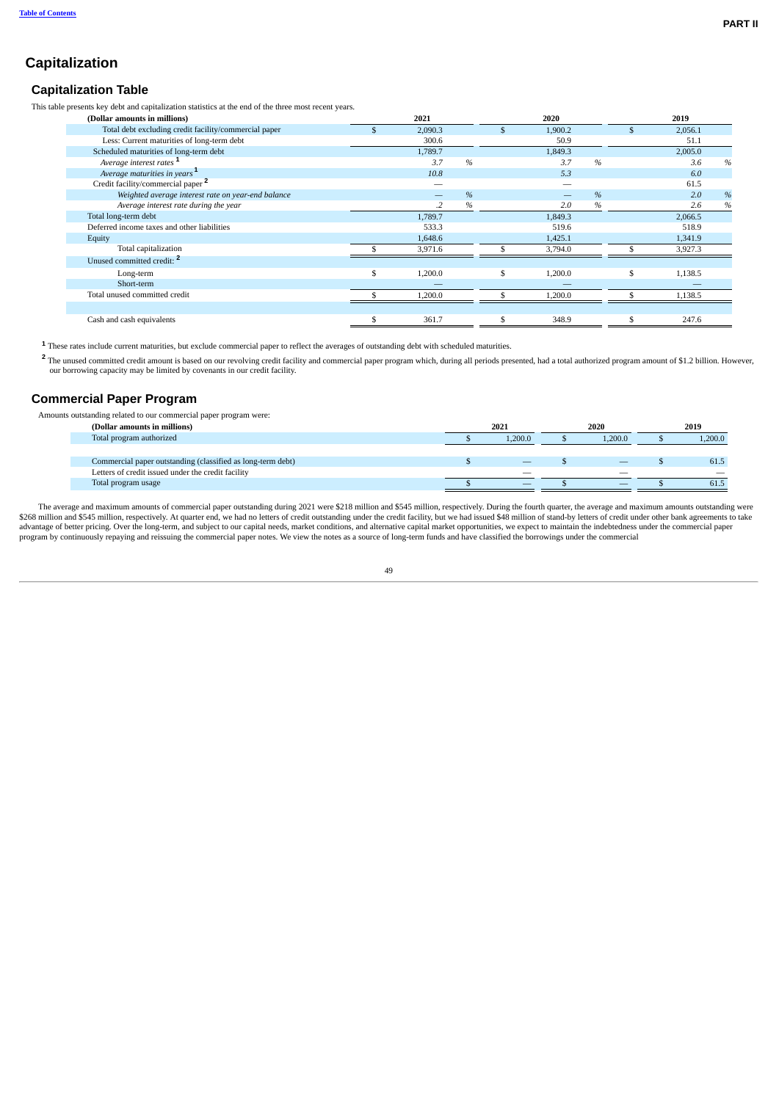# **Capitalization**

## **Capitalization Table**

This table presents key debt and capitalization statistics at the end of the three most recent years.

| (Dollar amounts in millions)                          | 2021                     |   | 2020          |   |   | 2019    |      |
|-------------------------------------------------------|--------------------------|---|---------------|---|---|---------|------|
| Total debt excluding credit facility/commercial paper | \$<br>2,090.3            |   | 1,900.2       |   |   | 2,056.1 |      |
| Less: Current maturities of long-term debt            | 300.6                    |   | 50.9          |   |   | 51.1    |      |
| Scheduled maturities of long-term debt                | 1,789.7                  |   | 1,849.3       |   |   | 2,005.0 |      |
| Average interest rates <sup>1</sup>                   | 3.7                      | % | 3.7           | % |   | 3.6     | %    |
| Average maturities in years <sup>1</sup>              | 10.8                     |   | 5.3           |   |   | 6.0     |      |
| Credit facility/commercial paper <sup>2</sup>         | $\overline{\phantom{a}}$ |   |               |   |   | 61.5    |      |
| Weighted average interest rate on year-end balance    | $\overline{\phantom{a}}$ | % |               | % |   | 2.0     | %    |
| Average interest rate during the year                 | $\cdot$                  | % | 2.0           | % |   | 2.6     | $\%$ |
| Total long-term debt                                  | 1,789.7                  |   | 1,849.3       |   |   | 2,066.5 |      |
| Deferred income taxes and other liabilities           | 533.3                    |   | 519.6         |   |   | 518.9   |      |
| Equity                                                | 1,648.6                  |   | 1,425.1       |   |   | 1,341.9 |      |
| Total capitalization                                  | 3,971.6                  |   | 3,794.0       |   |   | 3,927.3 |      |
| Unused committed credit: <sup>2</sup>                 |                          |   |               |   |   |         |      |
| Long-term                                             | \$<br>1,200.0            |   | \$<br>1,200.0 |   | s | 1,138.5 |      |
| Short-term                                            |                          |   |               |   |   |         |      |
| Total unused committed credit                         | 1,200.0                  |   | 1,200.0       |   |   | 1,138.5 |      |
|                                                       |                          |   |               |   |   |         |      |
| Cash and cash equivalents                             | \$<br>361.7              |   | 348.9         |   |   | 247.6   |      |

<sup>1</sup> These rates include current maturities, but exclude commercial paper to reflect the averages of outstanding debt with scheduled maturities.

The unused committed credit amount is based on our revolving credit facility and commercial paper program which, during all periods presented, had a total authorized program amount of \$1.2 billion. However,<br>our borrowing c **2**

## <span id="page-18-0"></span>**Commercial Paper Program**

Amounts outstanding related to our commercial paper program were:

| (Dollar amounts in millions)                                | 2021   |    | 2020   |                          | 2019 |         |
|-------------------------------------------------------------|--------|----|--------|--------------------------|------|---------|
| Total program authorized                                    | .200.0 |    | .200.0 |                          |      | 1,200.0 |
|                                                             |        |    |        |                          |      |         |
| Commercial paper outstanding (classified as long-term debt) |        |    |        | $\overline{\phantom{a}}$ |      | 61.5    |
| Letters of credit issued under the credit facility          |        | __ |        | _                        |      |         |
| Total program usage                                         |        | __ |        | $\overline{\phantom{a}}$ |      | 61.5    |

The average and maximum amounts of commercial paper outstanding during 2021 were \$218 million and \$545 million, respectively. During the fourth quarter, the average and maximum amounts outstanding were \$268 million and \$545 million, respectively. At quarter end, we had no letters of credit outstanding under the credit facility, but we had issued \$48 million of stand-by letters of credit under other bank agreements to tak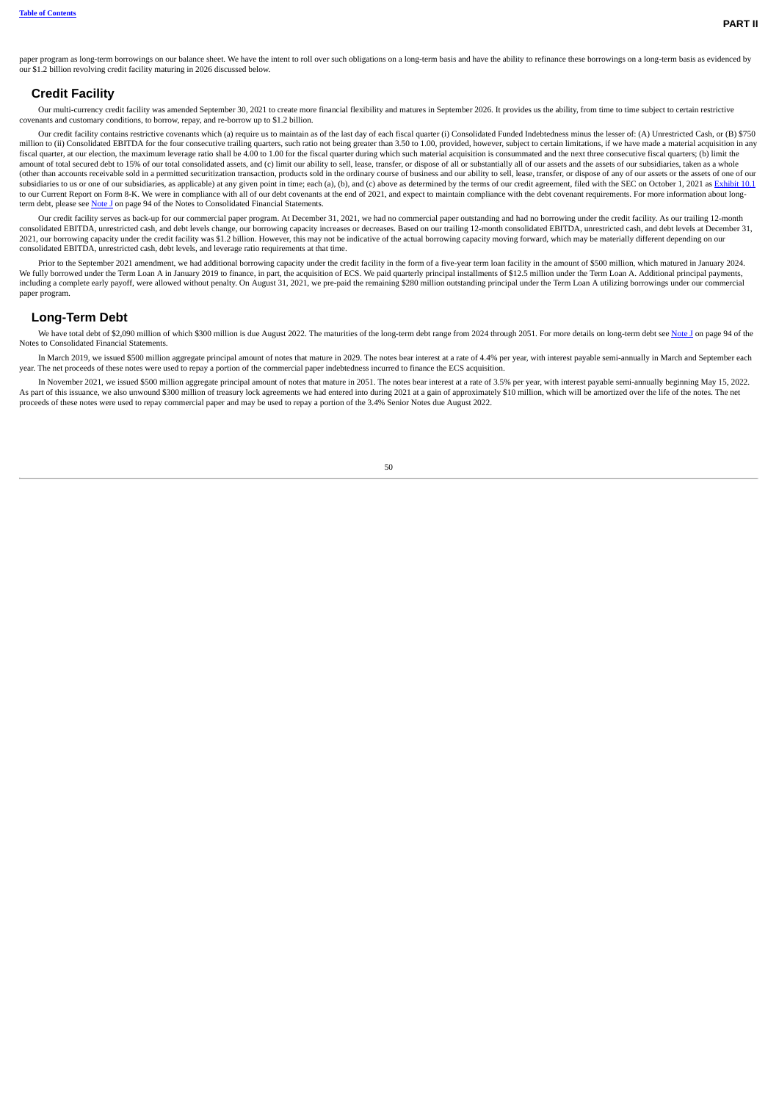paper program as long-term borrowings on our balance sheet. We have the intent to roll over such obligations on a long-term basis and have the ability to refinance these borrowings on a long-term basis as evidenced by our \$1.2 billion revolving credit facility maturing in 2026 discussed below.

### <span id="page-19-1"></span>**Credit Facility**

Our multi-currency credit facility was amended September 30, 2021 to create more financial flexibility and matures in September 2026. It provides us the ability, from time to time subject to certain restrictive covenants and customary conditions, to borrow, repay, and re-borrow up to \$1.2 billion.

Our credit facility contains restrictive covenants which (a) require us to maintain as of the last day of each fiscal quarter (i) Consolidated Funded Indebtedness minus the lesser of: (A) Unrestricted Cash, or (B) \$750 million to (ii) Consolidated EBITDA for the four consecutive trailing quarters, such ratio not being greater than 3.50 to 1.00, provided, however, subject to certain limitations, if we have made a material acquisition in any fiscal quarter, at our election, the maximum leverage ratio shall be 4.00 to 1.00 for the fiscal quarter during which such material acquisition is consummated and the next three consecutive fiscal quarters; (b) limit the amount of total secured debt to 15% of our total consolidated assets, and (c) limit our ability to sell, lease, transfer, or dispose of all or substantially all of our assets and the assets of our subsidiaries, taken as a (other than accounts receivable sold in a permitted securitization transaction, products sold in the ordinary course of business and our ability to sell, lease, transfer, or dispose of any of our assets or the assets of on subsidiaries to us or one of our subsidiaries, as applicable) at any given point in time; each (a), (b), and (c) above as determined by the terms of our credit agreement, filed with the SEC on October 1, 2021 as [Exhibit](http://www.sec.gov/Archives/edgar/data/58492/000119312521289685/d218109dex101.htm) 1 to our Current Report on Form 8-K. We were in compliance with all of our debt covenants at the end of 2021, and expect to maintain compliance with the debt covenant requirements. For more information about long-term debt, please see [Note](#page--1-5) J on page 94 of the Notes to Consolidated Financial Statements.

.01 Our credit facility serves as back-up for our commercial paper program. At December 31, 2021, we had no commercial paper outstanding and had no borrowing under the credit facility. As our trailing 12-month<br>{ consolidat 2021, our borrowing capacity under the credit facility was \$1.2 billion. However, this may not be indicative of the actual borrowing capacity moving forward, which may be materially different depending on our control of th consolidated EBITDA, unrestricted cash, debt levels, and leverage ratio requirements at that time.

Prior to the September 2021 amendment, we had additional borrowing capacity under the credit facility in the form of a five-year term loan facility in the amount of \$500 million, which matured in January 2024. We fully borrowed under the Term Loan A in January 2019 to finance, in part, the acquisition of ECS. We paid quarterly principal installments of \$12.5 million under the Term Loan A. Additional principal payments,<br>including paper program.

#### <span id="page-19-2"></span>**Long-Term Debt**

We have total debt of \$2,090 million of which \$300 million is due August 2022. The maturities of the long-term debt range from 2024 through 2051. For more details on long-term debt see [Note](#page--1-5) J on page 94 of the Notes to Consolidated Financial Statements.

In March 2019, we issued \$500 million aggregate principal amount of notes that mature in 2029. The notes bear interest at a rate of 4.4% per year, with interest payable semi-annually in March and September each year. The net proceeds of these notes were used to repay a portion of the commercial paper indebtedness incurred to finance the ECS acquisition.

<span id="page-19-0"></span>In November 2021, we issued \$500 million aggregate principal amount of notes that mature in 2051. The notes bear interest at a rate of 3.5% per year, with interest payable semi-annually beginning May 15, 2022. As part of this issuance, we also unwound \$300 million of treasury lock agreements we had entered into during 2021 at a gain of approximately \$10 million, which will be amortized over the life of the notes. The net proceeds of these notes were used to repay commercial paper and may be used to repay a portion of the 3.4% Senior Notes due August 2022.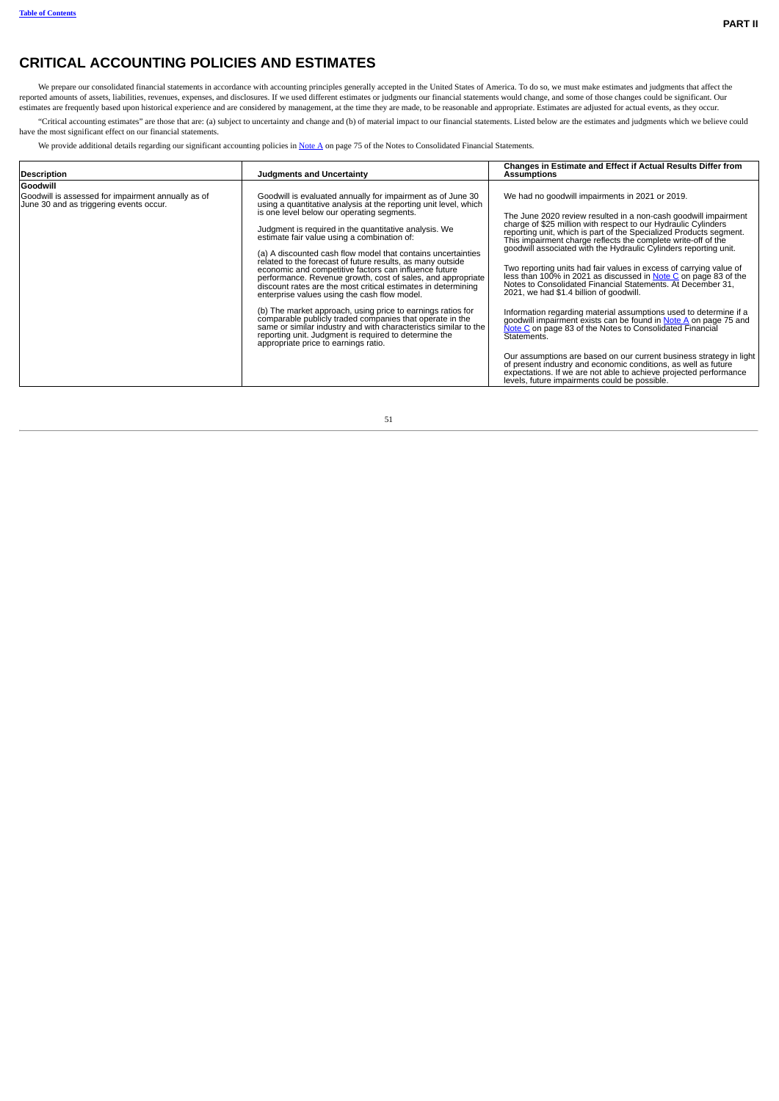# **CRITICAL ACCOUNTING POLICIES AND ESTIMATES**

We prepare our consolidated financial statements in accordance with accounting principles generally accepted in the United States of America. To do so, we must make estimates and judgments that affect the reported amounts

"Critical accounting estimates" are those that are: (a) subject to uncertainty and change and (b) of material impact to our financial statements. Listed below are the estimates and judgments which we believe could have the most significant effect on our financial statements.

We provide additional details regarding our significant accounting policies in [Note](#page--1-2) A on page 75 of the Notes to Consolidated Financial Statements.

| <b>Description</b>                                                                            | <b>Judgments and Uncertainty</b>                                                                                                                                                                                                                                                                                                                                                                                                                                                                                                                                                                                                                                                                                                                                                                                                                                                                                                                             | Changes in Estimate and Effect if Actual Results Differ from<br>Assumptions                                                                                                                                                                                                                                                                                                                                                                                                                                                                                                                                                                                                                                                                                                                                                                                            |
|-----------------------------------------------------------------------------------------------|--------------------------------------------------------------------------------------------------------------------------------------------------------------------------------------------------------------------------------------------------------------------------------------------------------------------------------------------------------------------------------------------------------------------------------------------------------------------------------------------------------------------------------------------------------------------------------------------------------------------------------------------------------------------------------------------------------------------------------------------------------------------------------------------------------------------------------------------------------------------------------------------------------------------------------------------------------------|------------------------------------------------------------------------------------------------------------------------------------------------------------------------------------------------------------------------------------------------------------------------------------------------------------------------------------------------------------------------------------------------------------------------------------------------------------------------------------------------------------------------------------------------------------------------------------------------------------------------------------------------------------------------------------------------------------------------------------------------------------------------------------------------------------------------------------------------------------------------|
| Goodwill                                                                                      |                                                                                                                                                                                                                                                                                                                                                                                                                                                                                                                                                                                                                                                                                                                                                                                                                                                                                                                                                              |                                                                                                                                                                                                                                                                                                                                                                                                                                                                                                                                                                                                                                                                                                                                                                                                                                                                        |
| Goodwill is assessed for impairment annually as of<br>June 30 and as triggering events occur. | Goodwill is evaluated annually for impairment as of June 30<br>using a quantitative analysis at the reporting unit level, which<br>is one level below our operating segments.<br>Judgment is required in the quantitative analysis. We<br>estimate fair value using a combination of:<br>(a) A discounted cash flow model that contains uncertainties<br>related to the forecast of future results, as many outside<br>economic and competitive factors can influence future<br>performance. Revenue growth, cost of sales, and appropriate<br>discount rates are the most critical estimates in determining<br>enterprise values using the cash flow model.<br>(b) The market approach, using price to earnings ratios for<br>comparable publicly traded companies that operate in the<br>same or similar industry and with characteristics similar to the<br>reporting unit. Judgment is required to determine the<br>appropriate price to earnings ratio. | We had no goodwill impairments in 2021 or 2019.<br>The June 2020 review resulted in a non-cash goodwill impairment<br>charge of \$25 million with respect to our Hydraulic Cylinders<br>reporting unit, which is part of the Specialized Products segment.<br>This impairment charge reflects the complete write-off of the<br>goodwill associated with the Hydraulic Cylinders reporting unit.<br>Two reporting units had fair values in excess of carrying value of<br>less than 100% in 2021 as discussed in Note C on page 83 of the<br>Notes to Consolidated Financial Statements. At December 31,<br>2021, we had \$1.4 billion of goodwill.<br>Information regarding material assumptions used to determine if a<br>goodwill impairment exists can be found in Note A on page 75 and<br>Note C on page 83 of the Notes to Consolidated Financial<br>Statements. |
|                                                                                               |                                                                                                                                                                                                                                                                                                                                                                                                                                                                                                                                                                                                                                                                                                                                                                                                                                                                                                                                                              | Our assumptions are based on our current business strategy in light<br>of present industry and economic conditions, as well as future<br>expectations. If we are not able to achieve projected performance<br>levels, future impairments could be possible.                                                                                                                                                                                                                                                                                                                                                                                                                                                                                                                                                                                                            |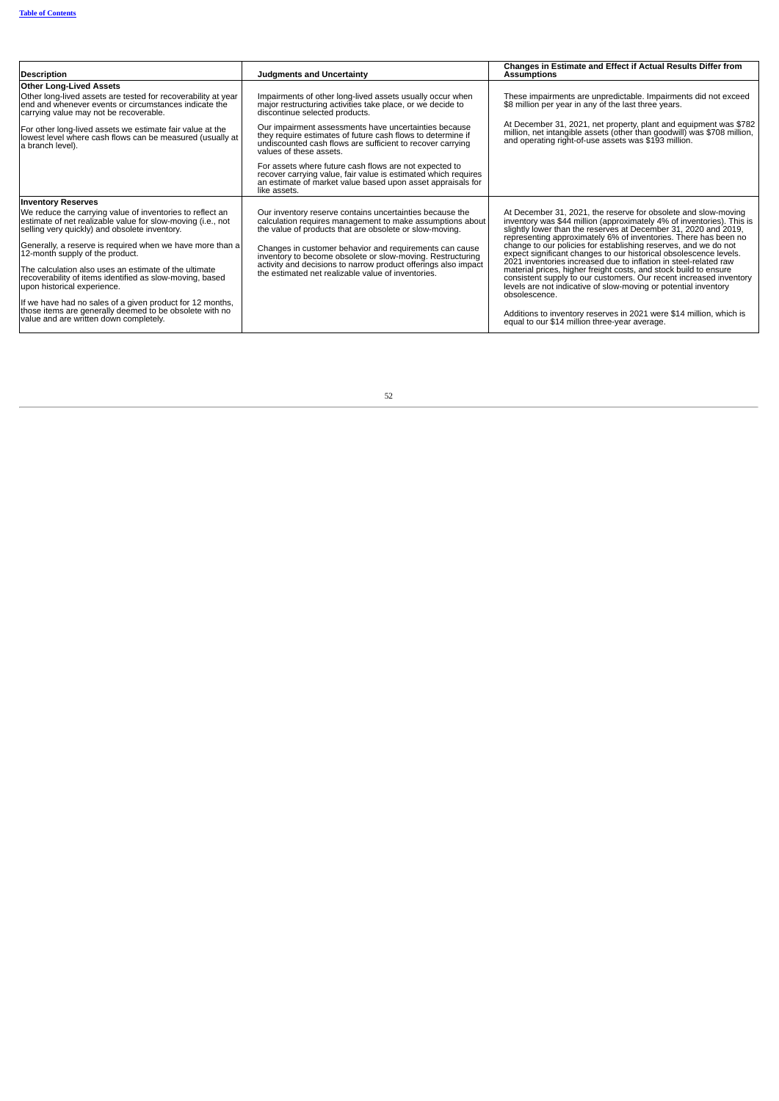| <b>Description</b>                                                                                                                                                        | <b>Judgments and Uncertainty</b>                                                                                                                                                                              | Changes in Estimate and Effect if Actual Results Differ from<br><b>Assumptions</b>                                                                                                                                                                                            |
|---------------------------------------------------------------------------------------------------------------------------------------------------------------------------|---------------------------------------------------------------------------------------------------------------------------------------------------------------------------------------------------------------|-------------------------------------------------------------------------------------------------------------------------------------------------------------------------------------------------------------------------------------------------------------------------------|
| <b>Other Long-Lived Assets</b>                                                                                                                                            |                                                                                                                                                                                                               |                                                                                                                                                                                                                                                                               |
| Other long-lived assets are tested for recoverability at year<br>end and whenever events or circumstances indicate the<br>carrying value may not be recoverable.          | Impairments of other long-lived assets usually occur when<br>major restructuring activities take place, or we decide to<br>discontinue selected products.                                                     | These impairments are unpredictable. Impairments did not exceed<br>\$8 million per year in any of the last three years.                                                                                                                                                       |
| For other long-lived assets we estimate fair value at the<br>lowest level where cash flows can be measured (usually at<br>a branch level).                                | Our impairment assessments have uncertainties because<br>they require estimates of future cash flows to determine if<br>undiscounted cash flows are sufficient to recover carrying<br>values of these assets. | At December 31, 2021, net property, plant and equipment was \$782<br>million, net intangible assets (other than goodwill) was \$708 million,<br>and operating right-of-use assets was \$193 million.                                                                          |
|                                                                                                                                                                           | For assets where future cash flows are not expected to<br>recover carrying value, fair value is estimated which requires<br>an estimate of market value based upon asset appraisals for<br>like assets.       |                                                                                                                                                                                                                                                                               |
| <b>Inventory Reserves</b>                                                                                                                                                 |                                                                                                                                                                                                               |                                                                                                                                                                                                                                                                               |
| We reduce the carrying value of inventories to reflect an<br>estimate of net realizable value for slow-moving (i.e., not<br>selling very quickly) and obsolete inventory. | Our inventory reserve contains uncertainties because the<br>calculation requires management to make assumptions about<br>the value of products that are obsolete or slow-moving.                              | At December 31, 2021, the reserve for obsolete and slow-moving<br>inventory was \$44 million (approximately 4% of inventories). This is<br>slightly lower than the reserves at December 31, 2020 and 2019.<br>representing approximately 6% of inventories. There has been no |
| Generally, a reserve is required when we have more than a<br>12-month supply of the product.                                                                              | Changes in customer behavior and requirements can cause<br>inventory to become obsolete or slow-moving. Restructuring<br>activity and decisions to narrow product offerings also impact                       | change to our policies for establishing reserves, and we do not<br>expect significant changes to our historical obsolescence levels.<br>2021 inventories increased due to inflation in steel-related raw                                                                      |
| The calculation also uses an estimate of the ultimate<br>recoverability of items identified as slow-moving, based<br>upon historical experience.                          | the estimated net realizable value of inventories.                                                                                                                                                            | material prices, higher freight costs, and stock build to ensure<br>consistent supply to our customers. Our recent increased inventory<br>levels are not indicative of slow-moving or potential inventory<br>obsolescence.                                                    |
| If we have had no sales of a given product for 12 months,<br>those items are generally deemed to be obsolete with no<br>value and are written down completely.            |                                                                                                                                                                                                               | Additions to inventory reserves in 2021 were \$14 million, which is<br>equal to our \$14 million three-year average.                                                                                                                                                          |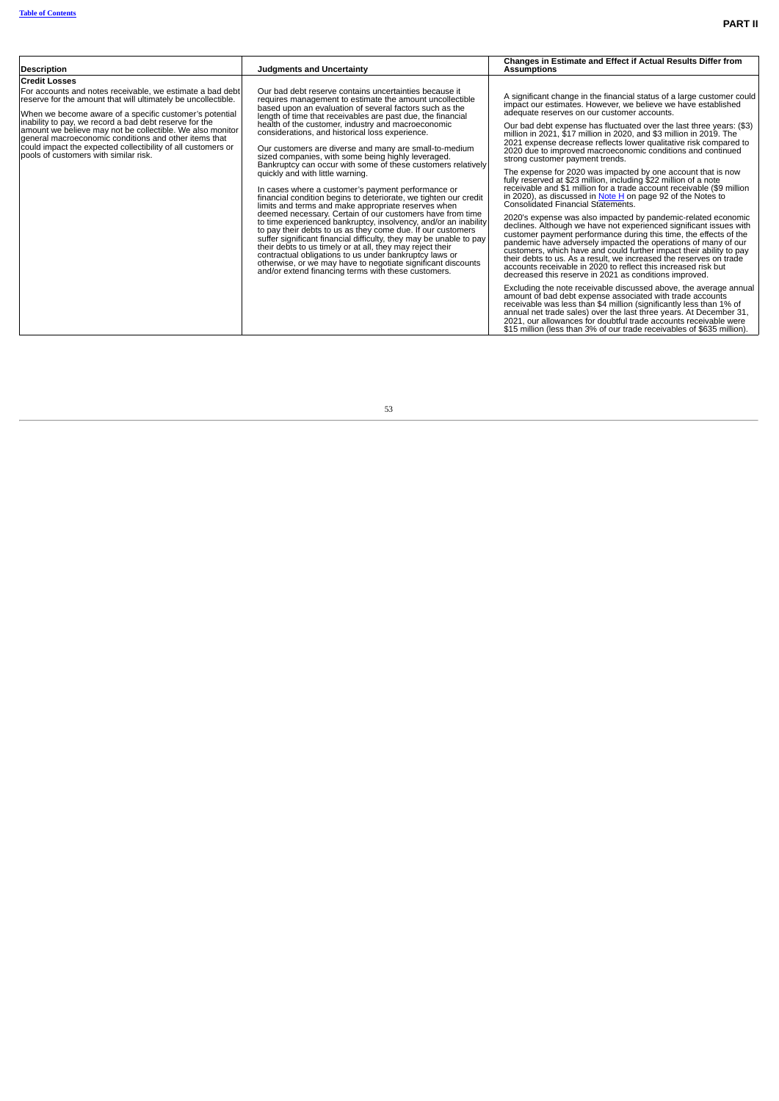|                                                                                                                                                                                                                                                                                       |                                                                                                                                                                                                                                                                                                                                                                                                                                                                                                                                                                                                                                                                                                                                                                                                                                                                                                                                                                                                                                                                                              | Changes in Estimate and Effect if Actual Results Differ from                                                                                                                                                                                                                                                                                                                                                                                                                                                                                        |
|---------------------------------------------------------------------------------------------------------------------------------------------------------------------------------------------------------------------------------------------------------------------------------------|----------------------------------------------------------------------------------------------------------------------------------------------------------------------------------------------------------------------------------------------------------------------------------------------------------------------------------------------------------------------------------------------------------------------------------------------------------------------------------------------------------------------------------------------------------------------------------------------------------------------------------------------------------------------------------------------------------------------------------------------------------------------------------------------------------------------------------------------------------------------------------------------------------------------------------------------------------------------------------------------------------------------------------------------------------------------------------------------|-----------------------------------------------------------------------------------------------------------------------------------------------------------------------------------------------------------------------------------------------------------------------------------------------------------------------------------------------------------------------------------------------------------------------------------------------------------------------------------------------------------------------------------------------------|
| <b>Description</b>                                                                                                                                                                                                                                                                    | <b>Judaments and Uncertainty</b>                                                                                                                                                                                                                                                                                                                                                                                                                                                                                                                                                                                                                                                                                                                                                                                                                                                                                                                                                                                                                                                             | <b>Assumptions</b>                                                                                                                                                                                                                                                                                                                                                                                                                                                                                                                                  |
| <b>Credit Losses</b>                                                                                                                                                                                                                                                                  |                                                                                                                                                                                                                                                                                                                                                                                                                                                                                                                                                                                                                                                                                                                                                                                                                                                                                                                                                                                                                                                                                              |                                                                                                                                                                                                                                                                                                                                                                                                                                                                                                                                                     |
| For accounts and notes receivable, we estimate a bad debt<br>reserve for the amount that will ultimately be uncollectible.<br>When we become aware of a specific customer's potential                                                                                                 | Our bad debt reserve contains uncertainties because it<br>requires management to estimate the amount uncollectible<br>based upon an evaluation of several factors such as the                                                                                                                                                                                                                                                                                                                                                                                                                                                                                                                                                                                                                                                                                                                                                                                                                                                                                                                | A significant change in the financial status of a large customer could<br>impact our estimates. However, we believe we have established<br>adequate reserves on our customer accounts.                                                                                                                                                                                                                                                                                                                                                              |
| inability to pay, we record a bad debt reserve for the<br>amount we believe may not be collectible. We also monitor<br>general macroeconomic conditions and other items that<br>could impact the expected collectibility of all customers or<br>pools of customers with similar risk. | length of time that receivables are past due, the financial<br>health of the customer, industry and macroeconomic<br>considerations, and historical loss experience.<br>Our customers are diverse and many are small-to-medium<br>sized companies, with some being highly leveraged.<br>Bankruptcy can occur with some of these customers relatively<br>quickly and with little warning.<br>In cases where a customer's payment performance or<br>financial condition begins to deteriorate, we tighten our credit<br>limits and terms and make appropriate reserves when<br>deemed necessary. Certain of our customers have from time<br>to time experienced bankruptcy, insolvency, and/or an inability<br>to pay their debts to us as they come due. If our customers<br>suffer significant financial difficulty, they may be unable to pay<br>their debts to us timely or at all, they may reject their<br>contractual obligations to us under bankruptcy laws or<br>otherwise, or we may have to negotiate significant discounts<br>and/or extend financing terms with these customers. | Our bad debt expense has fluctuated over the last three years: (\$3)<br>million in 2021, \$17 million in 2020, and \$3 million in 2019. The<br>2021 expense decrease reflects lower qualitative risk compared to<br>2020 due to improved macroeconomic conditions and continued<br>strong customer payment trends.                                                                                                                                                                                                                                  |
|                                                                                                                                                                                                                                                                                       |                                                                                                                                                                                                                                                                                                                                                                                                                                                                                                                                                                                                                                                                                                                                                                                                                                                                                                                                                                                                                                                                                              | The expense for 2020 was impacted by one account that is now<br>fully reserved at \$23 million, including \$22 million of a note<br>receivable and \$1 million for a trade account receivable (\$9 million<br>in 2020), as discussed in Note $H$ on page 92 of the Notes to<br>Consolidated Financial Statements.                                                                                                                                                                                                                                   |
|                                                                                                                                                                                                                                                                                       |                                                                                                                                                                                                                                                                                                                                                                                                                                                                                                                                                                                                                                                                                                                                                                                                                                                                                                                                                                                                                                                                                              | 2020's expense was also impacted by pandemic-related economic<br>declines. Although we have not experienced significant issues with<br>customer payment performance during this time, the effects of the<br>pandemic have adversely impacted the operations of many of our<br>customers, which have and could further impact their ability to pay<br>their debts to us. As a result, we increased the reserves on trade<br>accounts receivable in 2020 to reflect this increased risk but<br>decreased this reserve in 2021 as conditions improved. |
|                                                                                                                                                                                                                                                                                       |                                                                                                                                                                                                                                                                                                                                                                                                                                                                                                                                                                                                                                                                                                                                                                                                                                                                                                                                                                                                                                                                                              | Excluding the note receivable discussed above, the average annual<br>amount of bad debt expense associated with trade accounts<br>receivable was less than \$4 million (significantly less than 1% of<br>annual net trade sales) over the last three years. At December 31,<br>2021, our allowances for doubtful trade accounts receivable were<br>\$15 million (less than 3% of our trade receivables of \$635 million).                                                                                                                           |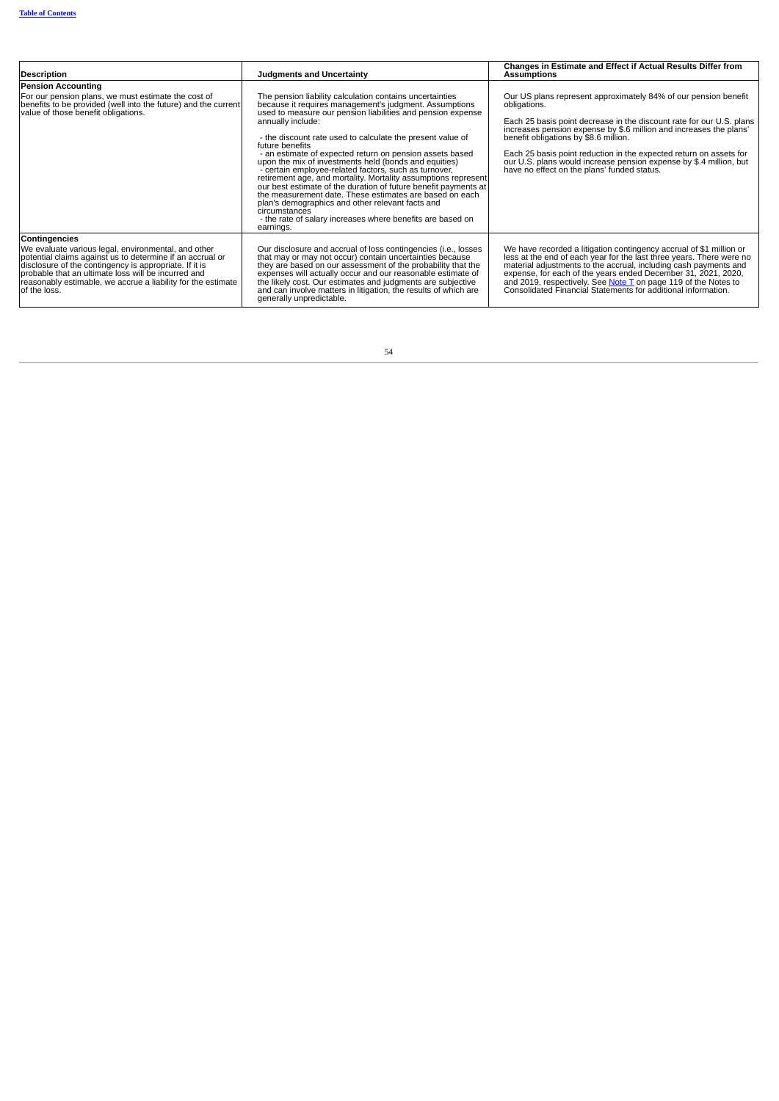| <b>Description</b>                                                                                                                                                                                                                                                                                                                        | <b>Judgments and Uncertainty</b>                                                                                                                                                                                                                                                                                                                                                                                                                                                                                                                                                                                                                                                                                                                                                                                      | Changes in Estimate and Effect if Actual Results Differ from<br><b>Assumptions</b>                                                                                                                                                                                                                                                                                                                                                                                |
|-------------------------------------------------------------------------------------------------------------------------------------------------------------------------------------------------------------------------------------------------------------------------------------------------------------------------------------------|-----------------------------------------------------------------------------------------------------------------------------------------------------------------------------------------------------------------------------------------------------------------------------------------------------------------------------------------------------------------------------------------------------------------------------------------------------------------------------------------------------------------------------------------------------------------------------------------------------------------------------------------------------------------------------------------------------------------------------------------------------------------------------------------------------------------------|-------------------------------------------------------------------------------------------------------------------------------------------------------------------------------------------------------------------------------------------------------------------------------------------------------------------------------------------------------------------------------------------------------------------------------------------------------------------|
| <b>Pension Accounting</b>                                                                                                                                                                                                                                                                                                                 |                                                                                                                                                                                                                                                                                                                                                                                                                                                                                                                                                                                                                                                                                                                                                                                                                       |                                                                                                                                                                                                                                                                                                                                                                                                                                                                   |
| For our pension plans, we must estimate the cost of<br>benefits to be provided (well into the future) and the current<br>value of those benefit obligations.                                                                                                                                                                              | The pension liability calculation contains uncertainties<br>because it requires management's judgment. Assumptions<br>used to measure our pension liabilities and pension expense<br>annually include:<br>- the discount rate used to calculate the present value of<br>future benefits<br>- an estimate of expected return on pension assets based<br>upon the mix of investments held (bonds and equities)<br>- certain employee-related factors, such as turnover,<br>retirement age, and mortality. Mortality assumptions represent<br>our best estimate of the duration of future benefit payments at<br>the measurement date. These estimates are based on each<br>plan's demographics and other relevant facts and<br>circumstances<br>- the rate of salary increases where benefits are based on<br>earnings. | Our US plans represent approximately 84% of our pension benefit<br>obligations.<br>Each 25 basis point decrease in the discount rate for our U.S. plans<br>increases pension expense by \$.6 million and increases the plans'<br>benefit obligations by \$8.6 million.<br>Each 25 basis point reduction in the expected return on assets for<br>our U.S. plans would increase pension expense by \$.4 million, but<br>have no effect on the plans' funded status. |
| <b>Contingencies</b><br>We evaluate various legal, environmental, and other<br>potential claims against us to determine if an accrual or<br>disclosure of the contingency is appropriate. If it is<br>probable that an ultimate loss will be incurred and<br>reasonably estimable, we accrue a liability for the estimate<br>of the loss. | Our disclosure and accrual of loss contingencies (i.e., losses<br>that may or may not occur) contain uncertainties because<br>they are based on our assessment of the probability that the<br>expenses will actually occur and our reasonable estimate of<br>the likely cost. Our estimates and judgments are subjective<br>and can involve matters in litigation, the results of which are<br>generally unpredictable.                                                                                                                                                                                                                                                                                                                                                                                               | We have recorded a litigation contingency accrual of \$1 million or<br>less at the end of each year for the last three years. There were no<br>material adjustments to the accrual, including cash payments and expense, for each of the years ended December 31, 2021, 2020,<br>and 2019, respectively. See <b>Note T</b> on page 119 of the Notes to Consolidated Financial Statements for additional information.                                              |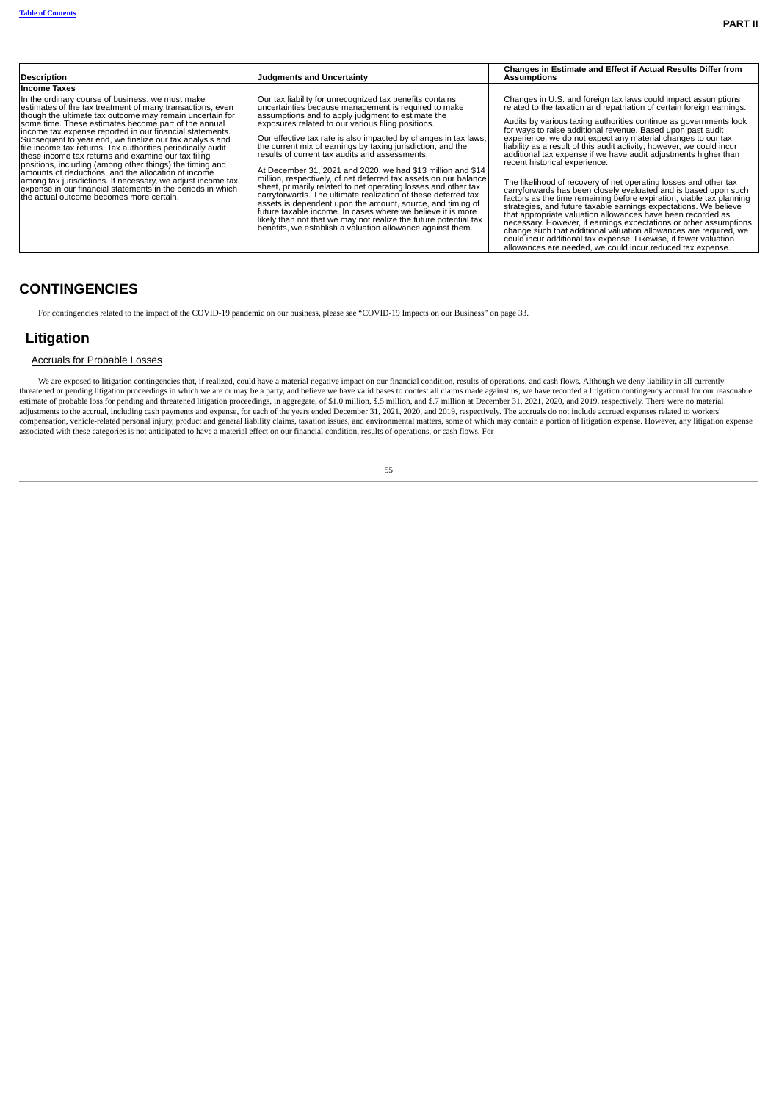| <b>Description</b>                                                                                                                                                                                                                                                                                                                                                                                                                                                                                                                                                                                                                                                                                                                                                            | <b>Judaments and Uncertainty</b>                                                                                                                                                                                                                                                                                                                                                                                                                                                                                                                                                                                                                                                                                                                                                                                                                                                                                                                     | Changes in Estimate and Effect if Actual Results Differ from<br><b>Assumptions</b>                                                                                                                                                                                                                                                                                                                                                                                                                                                                                                                                                                                                                                                                                                                                                                                                                                                                                                                                  |
|-------------------------------------------------------------------------------------------------------------------------------------------------------------------------------------------------------------------------------------------------------------------------------------------------------------------------------------------------------------------------------------------------------------------------------------------------------------------------------------------------------------------------------------------------------------------------------------------------------------------------------------------------------------------------------------------------------------------------------------------------------------------------------|------------------------------------------------------------------------------------------------------------------------------------------------------------------------------------------------------------------------------------------------------------------------------------------------------------------------------------------------------------------------------------------------------------------------------------------------------------------------------------------------------------------------------------------------------------------------------------------------------------------------------------------------------------------------------------------------------------------------------------------------------------------------------------------------------------------------------------------------------------------------------------------------------------------------------------------------------|---------------------------------------------------------------------------------------------------------------------------------------------------------------------------------------------------------------------------------------------------------------------------------------------------------------------------------------------------------------------------------------------------------------------------------------------------------------------------------------------------------------------------------------------------------------------------------------------------------------------------------------------------------------------------------------------------------------------------------------------------------------------------------------------------------------------------------------------------------------------------------------------------------------------------------------------------------------------------------------------------------------------|
|                                                                                                                                                                                                                                                                                                                                                                                                                                                                                                                                                                                                                                                                                                                                                                               |                                                                                                                                                                                                                                                                                                                                                                                                                                                                                                                                                                                                                                                                                                                                                                                                                                                                                                                                                      |                                                                                                                                                                                                                                                                                                                                                                                                                                                                                                                                                                                                                                                                                                                                                                                                                                                                                                                                                                                                                     |
| <b>Income Taxes</b>                                                                                                                                                                                                                                                                                                                                                                                                                                                                                                                                                                                                                                                                                                                                                           |                                                                                                                                                                                                                                                                                                                                                                                                                                                                                                                                                                                                                                                                                                                                                                                                                                                                                                                                                      |                                                                                                                                                                                                                                                                                                                                                                                                                                                                                                                                                                                                                                                                                                                                                                                                                                                                                                                                                                                                                     |
| In the ordinary course of business, we must make<br>estimates of the tax treatment of many transactions, even<br>though the ultimate tax outcome may remain uncertain for<br>some time. These estimates become part of the annual<br>income tax expense reported in our financial statements.<br>Subsequent to year end, we finalize our tax analysis and<br>file income tax returns. Tax authorities periodically audit<br>these income tax returns and examine our tax filing<br>positions, including (among other things) the timing and<br>lamounts of deductions, and the allocation of income<br>among tax jurisdictions. If necessary, we adjust income tax<br>expense in our financial statements in the periods in which<br>the actual outcome becomes more certain. | Our tax liability for unrecognized tax benefits contains<br>uncertainties because management is required to make<br>assumptions and to apply judgment to estimate the<br>exposures related to our various filing positions.<br>Our effective tax rate is also impacted by changes in tax laws,<br>the current mix of earnings by taxing jurisdiction, and the<br>results of current tax audits and assessments.<br>At December 31, 2021 and 2020, we had \$13 million and \$14<br>million, respectively, of net deferred tax assets on our balance<br>sheet, primarily related to net operating losses and other tax<br>carryforwards. The ultimate realization of these deferred tax<br>assets is dependent upon the amount, source, and timing of<br>future taxable income. In cases where we believe it is more<br>likely than not that we may not realize the future potential tax<br>benefits, we establish a valuation allowance against them. | Changes in U.S. and foreign tax laws could impact assumptions<br>related to the taxation and repatriation of certain foreign earnings.<br>Audits by various taxing authorities continue as governments look<br>for ways to raise additional revenue. Based upon past audit<br>experience, we do not expect any material changes to our tax<br>liability as a result of this audit activity; however, we could incur<br>additional tax expense if we have audit adjustments higher than<br>recent historical experience.<br>The likelihood of recovery of net operating losses and other tax<br>carryforwards has been closely evaluated and is based upon such<br>factors as the time remaining before expiration, viable tax planning<br>strategies, and future taxable earnings expectations. We believe<br>that appropriate valuation allowances have been recorded as<br>necessary. However, if earnings expectations or other assumptions<br>change such that additional valuation allowances are required, we |
|                                                                                                                                                                                                                                                                                                                                                                                                                                                                                                                                                                                                                                                                                                                                                                               |                                                                                                                                                                                                                                                                                                                                                                                                                                                                                                                                                                                                                                                                                                                                                                                                                                                                                                                                                      | could incur additional tax expense. Likewise, if fewer valuation<br>allowances are needed, we could incur reduced tax expense.                                                                                                                                                                                                                                                                                                                                                                                                                                                                                                                                                                                                                                                                                                                                                                                                                                                                                      |

# <span id="page-24-0"></span>**CONTINGENCIES**

For contingencies related to the impact of the COVID-19 pandemic on our business, please see "COVID-19 Impacts on our Business" on page 33.

## **Litigation**

## Accruals for Probable Losses

We are exposed to litigation contingencies that, if realized, could have a material negative impact on our financial condition, results of operations, and cash flows. Although we deny liability in all currently threatened or pending litigation proceedings in which we are or may be a party, and believe we have valid bases to contest all claims made against us, we have recorded a litigation contingency accrual for our reasonable es compensation, vehicle-related personal injury, product and general liability claims, taxation issues, and environmental matters, some of which may contain a portion of litigation expense. However, any litigation expense associated with these categories is not anticipated to have a material effect on our financial condition, results of operations, or cash flows. For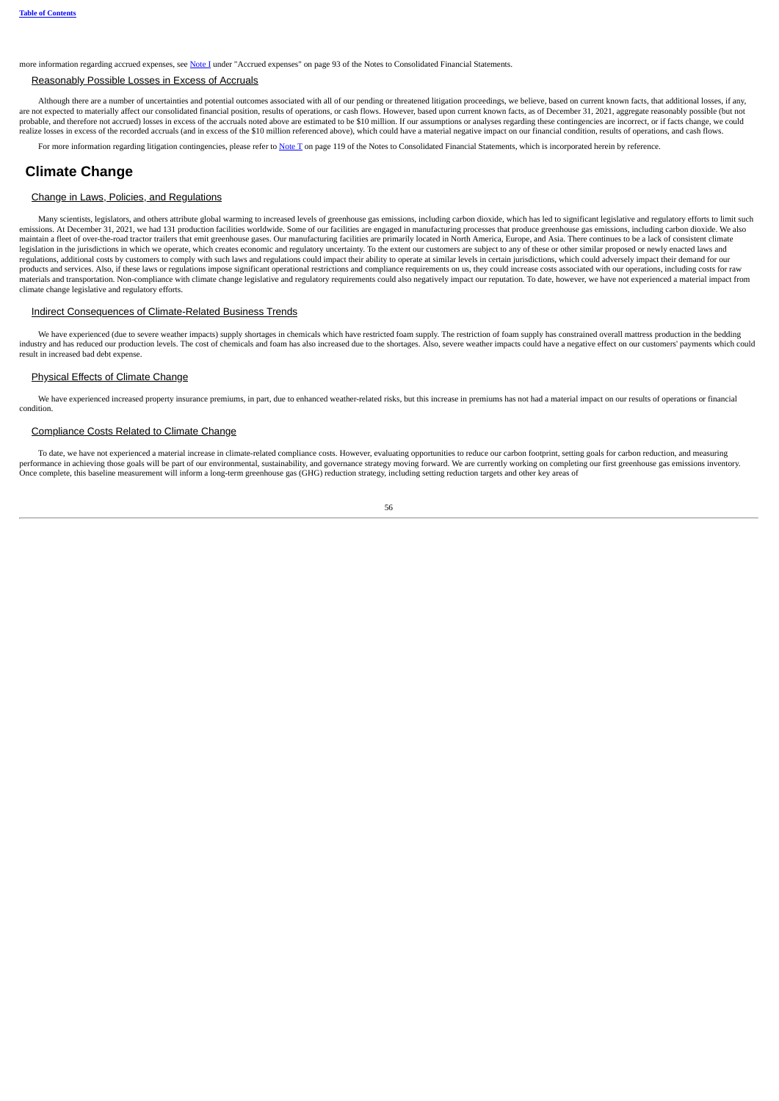more information regarding accrued expenses, see [Note](#page--1-9) I under "Accrued expenses" on page 93 of the Notes to Consolidated Financial Statements.

### Reasonably Possible Losses in Excess of Accruals

Although there are a number of uncertainties and potential outcomes associated with all of our pending or threatened litigation proceedings, we believe, based on current known facts, that additional losses, if any, are not expected to materially affect our consolidated financial position, results of operations, or cash flows. However, based upon current known facts, as of December 31, 2021, aggregate reasonably possible (but not are probable, and therefore not accrued) losses in excess of the accruals noted above are estimated to be \$10 million. If our assumptions or analyses regarding these contingencies are incorrect, or if facts change, we could .<br>realize losses in excess of the recorded accruals (and in excess of the \$10 million referenced above), which could have a material negative impact on our financial condition, results of operations, and cash flows.

For more information regarding litigation contingencies, please refer to [Note](#page--1-12) T on page 119 of the Notes to Consolidated Financial Statements, which is incorporated herein by reference.

## **Climate Change**

#### Change in Laws, Policies, and Regulations

Many scientists, legislators, and others attribute global warming to increased levels of greenhouse gas emissions, including carbon dioxide, which has led to significant legislative and regulatory efforts to limit such emissions. At December 31, 2021, we had 131 production facilities worldwide. Some of our facilities are engaged in manufacturing processes that produce greenhouse gas emissions, including carbon dioxide. We also<br>maintain a legislation in the jurisdictions in which we operate, which creates economic and regulatory uncertainty. To the extent our customers are subject to any of these or other similar proposed or newly enacted laws and legislati regulations, additional costs by customers to comply with such laws and regulations could impact their ability to operate at similar levels in certain jurisdictions, which could adversely impact their demand for our products and services. Also, if these laws or regulations impose significant operational restrictions and compliance requirements on us, they could increase costs associated with our operations, including costs for raw materials and transportation. Non-compliance with climate change legislative and regulatory requirements could also negatively impact our reputation. To date, however, we have not experienced a material impact from climate change legislative and regulatory efforts.

#### Indirect Consequences of Climate-Related Business Trends

We have experienced (due to severe weather impacts) supply shortages in chemicals which have restricted foam supply. The restriction of foam supply has constrained overall mattress production in the bedding industry and has reduced our production levels. The cost of chemicals and foam has also increased due to the shortages. Also, severe weather impacts could have a negative effect on our customers' payments which could result in increased bad debt expense.

#### Physical Effects of Climate Change

We have experienced increased property insurance premiums, in part, due to enhanced weather-related risks, but this increase in premiums has not had a material impact on our results of operations or financial condition.

#### Compliance Costs Related to Climate Change

To date, we have not experienced a material increase in climate-related compliance costs. However, evaluating opportunities to reduce our carbon footprint, setting goals for carbon reduction, and measuring performance in achieving those goals will be part of our environmental, sustainability, and governance strategy moving forward. We are currently working on completing our first greenhouse gas emissions inventory. Once complete, this baseline measurement will inform a long-term greenhouse gas (GHG) reduction strategy, including setting reduction targets and other key areas of